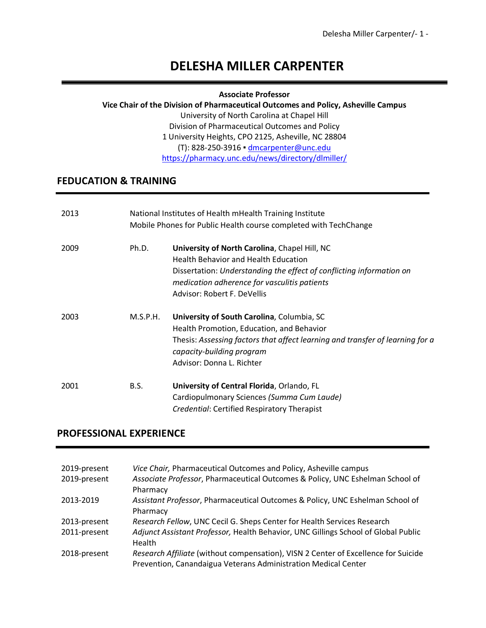# **DELESHA MILLER CARPENTER**

#### **Associate Professor**

#### **Vice Chair of the Division of Pharmaceutical Outcomes and Policy, Asheville Campus**

University of North Carolina at Chapel Hill Division of Pharmaceutical Outcomes and Policy 1 University Heights, CPO 2125, Asheville, NC 28804 (T): 828-250-3916 ▪ dmcarpenter@unc.edu https://pharmacy.unc.edu/news/directory/dlmiller/

## **FEDUCATION & TRAINING**

| 2013 | National Institutes of Health mHealth Training Institute<br>Mobile Phones for Public Health course completed with TechChange |                                                                                                                                                                                                                                                     |
|------|------------------------------------------------------------------------------------------------------------------------------|-----------------------------------------------------------------------------------------------------------------------------------------------------------------------------------------------------------------------------------------------------|
| 2009 | Ph.D.                                                                                                                        | University of North Carolina, Chapel Hill, NC<br><b>Health Behavior and Health Education</b><br>Dissertation: Understanding the effect of conflicting information on<br>medication adherence for vasculitis patients<br>Advisor: Robert F. DeVellis |
| 2003 | M.S.P.H.                                                                                                                     | University of South Carolina, Columbia, SC<br>Health Promotion, Education, and Behavior<br>Thesis: Assessing factors that affect learning and transfer of learning for a<br>capacity-building program<br>Advisor: Donna L. Richter                  |
| 2001 | B.S.                                                                                                                         | University of Central Florida, Orlando, FL<br>Cardiopulmonary Sciences (Summa Cum Laude)<br>Credential: Certified Respiratory Therapist                                                                                                             |

## **PROFESSIONAL EXPERIENCE**

| 2019-present<br>2019-present | Vice Chair, Pharmaceutical Outcomes and Policy, Asheville campus<br>Associate Professor, Pharmaceutical Outcomes & Policy, UNC Eshelman School of<br>Pharmacy |
|------------------------------|---------------------------------------------------------------------------------------------------------------------------------------------------------------|
| 2013-2019                    | Assistant Professor, Pharmaceutical Outcomes & Policy, UNC Eshelman School of<br>Pharmacy                                                                     |
| 2013-present                 | Research Fellow, UNC Cecil G. Sheps Center for Health Services Research                                                                                       |
| 2011-present                 | Adjunct Assistant Professor, Health Behavior, UNC Gillings School of Global Public<br>Health                                                                  |
| 2018-present                 | Research Affiliate (without compensation), VISN 2 Center of Excellence for Suicide<br>Prevention, Canandaigua Veterans Administration Medical Center          |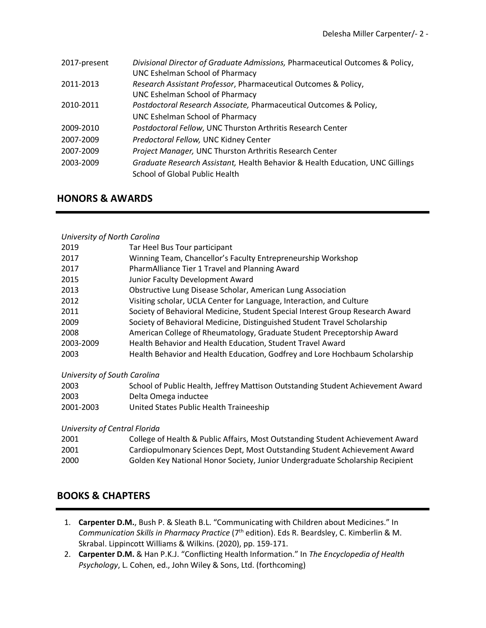| 2017-present | Divisional Director of Graduate Admissions, Pharmaceutical Outcomes & Policy, |
|--------------|-------------------------------------------------------------------------------|
|              | UNC Eshelman School of Pharmacy                                               |
| 2011-2013    | Research Assistant Professor, Pharmaceutical Outcomes & Policy,               |
|              | <b>UNC Eshelman School of Pharmacy</b>                                        |
| 2010-2011    | Postdoctoral Research Associate, Pharmaceutical Outcomes & Policy,            |
|              | UNC Eshelman School of Pharmacy                                               |
| 2009-2010    | Postdoctoral Fellow, UNC Thurston Arthritis Research Center                   |
| 2007-2009    | Predoctoral Fellow, UNC Kidney Center                                         |
| 2007-2009    | Project Manager, UNC Thurston Arthritis Research Center                       |
| 2003-2009    | Graduate Research Assistant, Health Behavior & Health Education, UNC Gillings |
|              | School of Global Public Health                                                |

## **HONORS & AWARDS**

#### *University of North Carolina*

| 2019      | Tar Heel Bus Tour participant                                                 |
|-----------|-------------------------------------------------------------------------------|
| 2017      | Winning Team, Chancellor's Faculty Entrepreneurship Workshop                  |
| 2017      | PharmAlliance Tier 1 Travel and Planning Award                                |
| 2015      | Junior Faculty Development Award                                              |
| 2013      | Obstructive Lung Disease Scholar, American Lung Association                   |
| 2012      | Visiting scholar, UCLA Center for Language, Interaction, and Culture          |
| 2011      | Society of Behavioral Medicine, Student Special Interest Group Research Award |
| 2009      | Society of Behavioral Medicine, Distinguished Student Travel Scholarship      |
| 2008      | American College of Rheumatology, Graduate Student Preceptorship Award        |
| 2003-2009 | Health Behavior and Health Education, Student Travel Award                    |
| 2003      | Health Behavior and Health Education, Godfrey and Lore Hochbaum Scholarship   |

#### *University of South Carolina*

| 2003      | School of Public Health, Jeffrey Mattison Outstanding Student Achievement Award |
|-----------|---------------------------------------------------------------------------------|
| 2003      | Delta Omega inductee                                                            |
| 2001-2003 | United States Public Health Traineeship                                         |

#### *University of Central Florida*

| 2001 | College of Health & Public Affairs, Most Outstanding Student Achievement Award |
|------|--------------------------------------------------------------------------------|
| 2001 | Cardiopulmonary Sciences Dept, Most Outstanding Student Achievement Award      |
| 2000 | Golden Key National Honor Society, Junior Undergraduate Scholarship Recipient  |

## **BOOKS & CHAPTERS**

- 1. **Carpenter D.M.**, Bush P. & Sleath B.L. "Communicating with Children about Medicines." In *Communication Skills in Pharmacy Practice* (7<sup>th</sup> edition). Eds R. Beardsley, C. Kimberlin & M. Skrabal. Lippincott Williams & Wilkins. (2020), pp. 159-171.
- 2. **Carpenter D.M.** & Han P.K.J. "Conflicting Health Information." In *The Encyclopedia of Health Psychology*, L. Cohen, ed., John Wiley & Sons, Ltd. (forthcoming)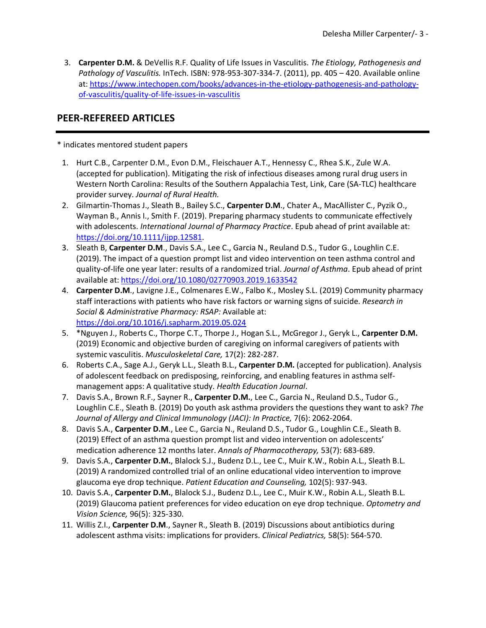3. **Carpenter D.M.** & DeVellis R.F. Quality of Life Issues in Vasculitis. *The Etiology, Pathogenesis and Pathology of Vasculitis.* InTech. ISBN: 978-953-307-334-7. (2011), pp. 405 – 420. Available online at: https://www.intechopen.com/books/advances-in-the-etiology-pathogenesis-and-pathologyof-vasculitis/quality-of-life-issues-in-vasculitis

## **PEER-REFEREED ARTICLES**

\* indicates mentored student papers

- 1. Hurt C.B., Carpenter D.M., Evon D.M., Fleischauer A.T., Hennessy C., Rhea S.K., Zule W.A. (accepted for publication). Mitigating the risk of infectious diseases among rural drug users in Western North Carolina: Results of the Southern Appalachia Test, Link, Care (SA-TLC) healthcare provider survey. *Journal of Rural Health.*
- 2. Gilmartin-Thomas J., Sleath B., Bailey S.C., **Carpenter D.M**., Chater A., MacAllister C., Pyzik O., Wayman B., Annis I., Smith F. (2019). Preparing pharmacy students to communicate effectively with adolescents. *International Journal of Pharmacy Practice*. Epub ahead of print available at: https://doi.org/10.1111/ijpp.12581.
- 3. Sleath B, **Carpenter D.M**., Davis S.A., Lee C., Garcia N., Reuland D.S., Tudor G., Loughlin C.E. (2019). The impact of a question prompt list and video intervention on teen asthma control and quality-of-life one year later: results of a randomized trial. *Journal of Asthma*. Epub ahead of print available at: https://doi.org/10.1080/02770903.2019.1633542
- 4. **Carpenter D.M**., Lavigne J.E., Colmenares E.W., Falbo K., Mosley S.L. (2019) Community pharmacy staff interactions with patients who have risk factors or warning signs of suicide. *Research in Social & Administrative Pharmacy: RSAP:* Available at: https://doi.org/10.1016/j.sapharm.2019.05.024
- 5. \*Nguyen J., Roberts C., Thorpe C.T., Thorpe J., Hogan S.L., McGregor J., Geryk L., **Carpenter D.M.** (2019) Economic and objective burden of caregiving on informal caregivers of patients with systemic vasculitis. *Musculoskeletal Care,* 17(2): 282-287.
- 6. Roberts C.A., Sage A.J., Geryk L.L., Sleath B.L., **Carpenter D.M.** (accepted for publication). Analysis of adolescent feedback on predisposing, reinforcing, and enabling features in asthma selfmanagement apps: A qualitative study. *Health Education Journal*.
- 7. Davis S.A., Brown R.F., Sayner R., **Carpenter D.M.**, Lee C., Garcia N., Reuland D.S., Tudor G., Loughlin C.E., Sleath B. (2019) Do youth ask asthma providers the questions they want to ask? *The*  Journal of Allergy and Clinical Immunology (JACI): In Practice, 7(6): 2062-2064.
- 8. Davis S.A., **Carpenter D.M**., Lee C., Garcia N., Reuland D.S., Tudor G., Loughlin C.E., Sleath B. (2019) Effect of an asthma question prompt list and video intervention on adolescents' medication adherence 12 months later. *Annals of Pharmacotherapy,* 53(7): 683-689.
- 9. Davis S.A., **Carpenter D.M.**, Blalock S.J., Budenz D.L., Lee C., Muir K.W., Robin A.L., Sleath B.L. (2019) A randomized controlled trial of an online educational video intervention to improve glaucoma eye drop technique. *Patient Education and Counseling,* 102(5): 937-943.
- 10. Davis S.A., **Carpenter D.M.**, Blalock S.J., Budenz D.L., Lee C., Muir K.W., Robin A.L., Sleath B.L. (2019) Glaucoma patient preferences for video education on eye drop technique. *Optometry and Vision Science,* 96(5): 325-330.
- 11. Willis Z.I., **Carpenter D.M**., Sayner R., Sleath B. (2019) Discussions about antibiotics during adolescent asthma visits: implications for providers. *Clinical Pediatrics,* 58(5): 564-570.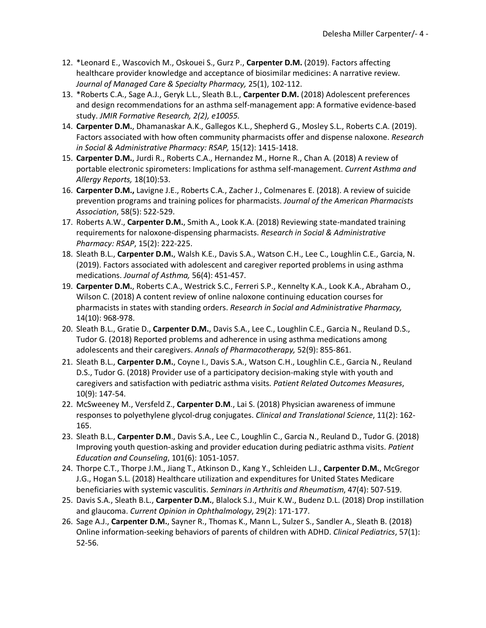- 12. \*Leonard E., Wascovich M., Oskouei S., Gurz P., **Carpenter D.M.** (2019). Factors affecting healthcare provider knowledge and acceptance of biosimilar medicines: A narrative review. *Journal of Managed Care & Specialty Pharmacy,* 25(1), 102-112.
- 13. \*Roberts C.A., Sage A.J., Geryk L.L., Sleath B.L., **Carpenter D.M.** (2018) Adolescent preferences and design recommendations for an asthma self-management app: A formative evidence-based study. *JMIR Formative Research, 2(2), e10055.*
- 14. **Carpenter D.M.**, Dhamanaskar A.K., Gallegos K.L., Shepherd G., Mosley S.L., Roberts C.A. (2019). Factors associated with how often community pharmacists offer and dispense naloxone. *Research in Social & Administrative Pharmacy: RSAP,* 15(12): 1415-1418.
- 15. **Carpenter D.M.**, Jurdi R., Roberts C.A., Hernandez M., Horne R., Chan A. (2018) A review of portable electronic spirometers: Implications for asthma self-management. *Current Asthma and Allergy Reports,* 18(10):53.
- 16. **Carpenter D.M.,** Lavigne J.E., Roberts C.A., Zacher J., Colmenares E. (2018). A review of suicide prevention programs and training polices for pharmacists. *Journal of the American Pharmacists Association*, 58(5): 522-529.
- 17. Roberts A.W., **Carpenter D.M.**, Smith A., Look K.A. (2018) Reviewing state-mandated training requirements for naloxone-dispensing pharmacists. *Research in Social & Administrative Pharmacy: RSAP*, 15(2): 222-225.
- 18. Sleath B.L., **Carpenter D.M.**, Walsh K.E., Davis S.A., Watson C.H., Lee C., Loughlin C.E., Garcia, N. (2019). Factors associated with adolescent and caregiver reported problems in using asthma medications. *Journal of Asthma,* 56(4): 451-457.
- 19. **Carpenter D.M.**, Roberts C.A., Westrick S.C., Ferreri S.P., Kennelty K.A., Look K.A., Abraham O., Wilson C. (2018) A content review of online naloxone continuing education courses for pharmacists in states with standing orders. *Research in Social and Administrative Pharmacy,*  14(10): 968-978.
- 20. Sleath B.L., Gratie D., **Carpenter D.M.**, Davis S.A., Lee C., Loughlin C.E., Garcia N., Reuland D.S., Tudor G. (2018) Reported problems and adherence in using asthma medications among adolescents and their caregivers. *Annals of Pharmacotherapy,* 52(9): 855-861.
- 21. Sleath B.L., **Carpenter D.M.**, Coyne I., Davis S.A., Watson C.H., Loughlin C.E., Garcia N., Reuland D.S., Tudor G. (2018) Provider use of a participatory decision-making style with youth and caregivers and satisfaction with pediatric asthma visits. *Patient Related Outcomes Measures*, 10(9): 147-54.
- 22. McSweeney M., Versfeld Z., **Carpenter D.M**., Lai S. (2018) Physician awareness of immune responses to polyethylene glycol-drug conjugates. *Clinical and Translational Science*, 11(2): 162- 165.
- 23. Sleath B.L., **Carpenter D.M**., Davis S.A., Lee C., Loughlin C., Garcia N., Reuland D., Tudor G. (2018) Improving youth question-asking and provider education during pediatric asthma visits. *Patient Education and Counseling*, 101(6): 1051-1057.
- 24. Thorpe C.T., Thorpe J.M., Jiang T., Atkinson D., Kang Y., Schleiden L.J., **Carpenter D.M.**, McGregor J.G., Hogan S.L. (2018) Healthcare utilization and expenditures for United States Medicare beneficiaries with systemic vasculitis. *Seminars in Arthritis and Rheumatism*, 47(4): 507-519.
- 25. Davis S.A., Sleath B.L., **Carpenter D.M.**, Blalock S.J., Muir K.W., Budenz D.L. (2018) Drop instillation and glaucoma. *Current Opinion in Ophthalmology*, 29(2): 171-177.
- 26. Sage A.J., **Carpenter D.M.**, Sayner R., Thomas K., Mann L., Sulzer S., Sandler A., Sleath B. (2018) Online information-seeking behaviors of parents of children with ADHD. *Clinical Pediatrics*, 57(1): 52-56.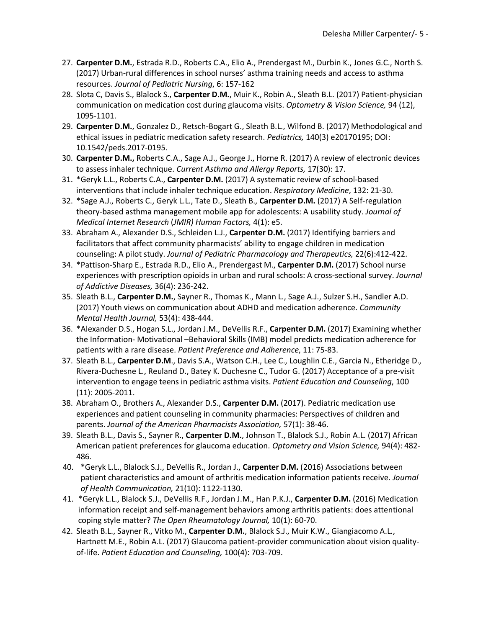- 27. **Carpenter D.M.**, Estrada R.D., Roberts C.A., Elio A., Prendergast M., Durbin K., Jones G.C., North S. (2017) Urban-rural differences in school nurses' asthma training needs and access to asthma resources. *Journal of Pediatric Nursing*, 6: 157-162
- 28. Slota C, Davis S., Blalock S., **Carpenter D.M.**, Muir K., Robin A., Sleath B.L. (2017) Patient-physician communication on medication cost during glaucoma visits. *Optometry & Vision Science,* 94 (12), 1095-1101.
- 29. **Carpenter D.M.**, Gonzalez D., Retsch-Bogart G., Sleath B.L., Wilfond B. (2017) Methodological and ethical issues in pediatric medication safety research. *Pediatrics,* 140(3) e20170195; DOI: 10.1542/peds.2017-0195.
- 30. **Carpenter D.M.,** Roberts C.A., Sage A.J., George J., Horne R. (2017) A review of electronic devices to assess inhaler technique. *Current Asthma and Allergy Reports,* 17(30): 17.
- 31. \*Geryk L.L., Roberts C.A., **Carpenter D.M.** (2017) A systematic review of school-based interventions that include inhaler technique education. *Respiratory Medicine*, 132: 21-30.
- 32. \*Sage A.J., Roberts C., Geryk L.L., Tate D., Sleath B., **Carpenter D.M.** (2017) A Self-regulation theory-based asthma management mobile app for adolescents: A usability study. *Journal of Medical Internet Research* (*JMIR) Human Factors,* 4(1): e5.
- 33. Abraham A., Alexander D.S., Schleiden L.J., **Carpenter D.M.** (2017) Identifying barriers and facilitators that affect community pharmacists' ability to engage children in medication counseling: A pilot study. *Journal of Pediatric Pharmacology and Therapeutics,* 22(6):412-422.
- 34. \*Pattison-Sharp E., Estrada R.D., Elio A., Prendergast M., **Carpenter D.M.** (2017) School nurse experiences with prescription opioids in urban and rural schools: A cross-sectional survey. *Journal of Addictive Diseases,* 36(4): 236-242.
- 35. Sleath B.L., **Carpenter D.M.**, Sayner R., Thomas K., Mann L., Sage A.J., Sulzer S.H., Sandler A.D. (2017) Youth views on communication about ADHD and medication adherence. *Community Mental Health Journal,* 53(4): 438-444.
- 36. \*Alexander D.S., Hogan S.L., Jordan J.M., DeVellis R.F., **Carpenter D.M.** (2017) Examining whether the Information- Motivational –Behavioral Skills (IMB) model predicts medication adherence for patients with a rare disease. *Patient Preference and Adherence*, 11: 75-83.
- 37. Sleath B.L., **Carpenter D.M**., Davis S.A., Watson C.H., Lee C., Loughlin C.E., Garcia N., Etheridge D., Rivera-Duchesne L., Reuland D., Batey K. Duchesne C., Tudor G. (2017) Acceptance of a pre-visit intervention to engage teens in pediatric asthma visits. *Patient Education and Counseling*, 100 (11): 2005-2011.
- 38. Abraham O., Brothers A., Alexander D.S., **Carpenter D.M.** (2017). Pediatric medication use experiences and patient counseling in community pharmacies: Perspectives of children and parents. *Journal of the American Pharmacists Association,* 57(1): 38-46.
- 39. Sleath B.L., Davis S., Sayner R., **Carpenter D.M.**, Johnson T., Blalock S.J., Robin A.L. (2017) African American patient preferences for glaucoma education. *Optometry and Vision Science,* 94(4): 482- 486.
- 40. \*Geryk L.L., Blalock S.J., DeVellis R., Jordan J., **Carpenter D.M.** (2016) Associations between patient characteristics and amount of arthritis medication information patients receive. *Journal of Health Communication,* 21(10): 1122-1130.
- 41. \*Geryk L.L., Blalock S.J., DeVellis R.F., Jordan J.M., Han P.K.J., **Carpenter D.M.** (2016) Medication information receipt and self-management behaviors among arthritis patients: does attentional coping style matter? *The Open Rheumatology Journal,* 10(1): 60-70.
- 42. Sleath B.L., Sayner R., Vitko M., **Carpenter D.M.**, Blalock S.J., Muir K.W., Giangiacomo A.L., Hartnett M.E., Robin A.L. (2017) Glaucoma patient-provider communication about vision qualityof-life. *Patient Education and Counseling,* 100(4): 703-709.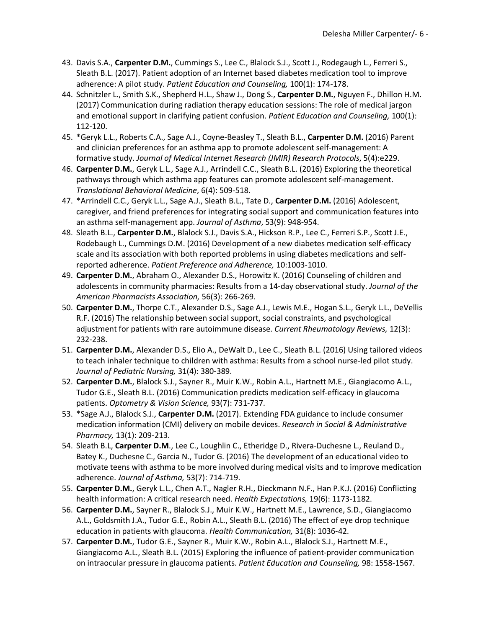- 43. Davis S.A., **Carpenter D.M.**, Cummings S., Lee C., Blalock S.J., Scott J., Rodegaugh L., Ferreri S., Sleath B.L. (2017). Patient adoption of an Internet based diabetes medication tool to improve adherence: A pilot study. *Patient Education and Counseling,* 100(1): 174-178.
- 44. Schnitzler L., Smith S.K., Shepherd H.L., Shaw J., Dong S., **Carpenter D.M.**, Nguyen F., Dhillon H.M. (2017) Communication during radiation therapy education sessions: The role of medical jargon and emotional support in clarifying patient confusion. *Patient Education and Counseling,* 100(1): 112-120.
- 45. \*Geryk L.L., Roberts C.A., Sage A.J., Coyne-Beasley T., Sleath B.L., **Carpenter D.M.** (2016) Parent and clinician preferences for an asthma app to promote adolescent self-management: A formative study. *Journal of Medical Internet Research (JMIR) Research Protocols*, 5(4):e229.
- 46. **Carpenter D.M.**, Geryk L.L., Sage A.J., Arrindell C.C., Sleath B.L. (2016) Exploring the theoretical pathways through which asthma app features can promote adolescent self-management. *Translational Behavioral Medicine*, 6(4): 509-518.
- 47. \*Arrindell C.C., Geryk L.L., Sage A.J., Sleath B.L., Tate D., **Carpenter D.M.** (2016) Adolescent, caregiver, and friend preferences for integrating social support and communication features into an asthma self-management app. *Journal of Asthma*, 53(9): 948-954.
- 48. Sleath B.L., **Carpenter D.M.**, Blalock S.J., Davis S.A., Hickson R.P., Lee C., Ferreri S.P., Scott J.E., Rodebaugh L., Cummings D.M. (2016) Development of a new diabetes medication self-efficacy scale and its association with both reported problems in using diabetes medications and selfreported adherence. *Patient Preference and Adherence,* 10:1003-1010.
- 49. **Carpenter D.M.**, Abraham O., Alexander D.S., Horowitz K. (2016) Counseling of children and adolescents in community pharmacies: Results from a 14-day observational study. *Journal of the American Pharmacists Association,* 56(3): 266-269.
- 50. **Carpenter D.M.**, Thorpe C.T., Alexander D.S., Sage A.J., Lewis M.E., Hogan S.L., Geryk L.L., DeVellis R.F. (2016) The relationship between social support, social constraints, and psychological adjustment for patients with rare autoimmune disease. *Current Rheumatology Reviews,* 12(3): 232-238.
- 51. **Carpenter D.M.**, Alexander D.S., Elio A., DeWalt D., Lee C., Sleath B.L. (2016) Using tailored videos to teach inhaler technique to children with asthma: Results from a school nurse-led pilot study. *Journal of Pediatric Nursing,* 31(4): 380-389.
- 52. **Carpenter D.M.**, Blalock S.J., Sayner R., Muir K.W., Robin A.L., Hartnett M.E., Giangiacomo A.L., Tudor G.E., Sleath B.L. (2016) Communication predicts medication self-efficacy in glaucoma patients. *Optometry & Vision Science,* 93(7): 731-737.
- 53. \*Sage A.J., Blalock S.J., **Carpenter D.M.** (2017). Extending FDA guidance to include consumer medication information (CMI) delivery on mobile devices. *Research in Social & Administrative Pharmacy,* 13(1): 209-213.
- 54. Sleath B.L, **Carpenter D.M**., Lee C., Loughlin C., Etheridge D., Rivera-Duchesne L., Reuland D., Batey K., Duchesne C., Garcia N., Tudor G. (2016) The development of an educational video to motivate teens with asthma to be more involved during medical visits and to improve medication adherence. *Journal of Asthma,* 53(7): 714-719.
- 55. **Carpenter D.M.**, Geryk L.L., Chen A.T., Nagler R.H., Dieckmann N.F., Han P.K.J. (2016) Conflicting health information: A critical research need. *Health Expectations,* 19(6): 1173-1182.
- 56. **Carpenter D.M.**, Sayner R., Blalock S.J., Muir K.W., Hartnett M.E., Lawrence, S.D., Giangiacomo A.L., Goldsmith J.A., Tudor G.E., Robin A.L., Sleath B.L. (2016) The effect of eye drop technique education in patients with glaucoma. *Health Communication,* 31(8): 1036-42.
- 57. **Carpenter D.M.**, Tudor G.E., Sayner R., Muir K.W., Robin A.L., Blalock S.J., Hartnett M.E., Giangiacomo A.L., Sleath B.L. (2015) Exploring the influence of patient-provider communication on intraocular pressure in glaucoma patients. *Patient Education and Counseling,* 98: 1558-1567.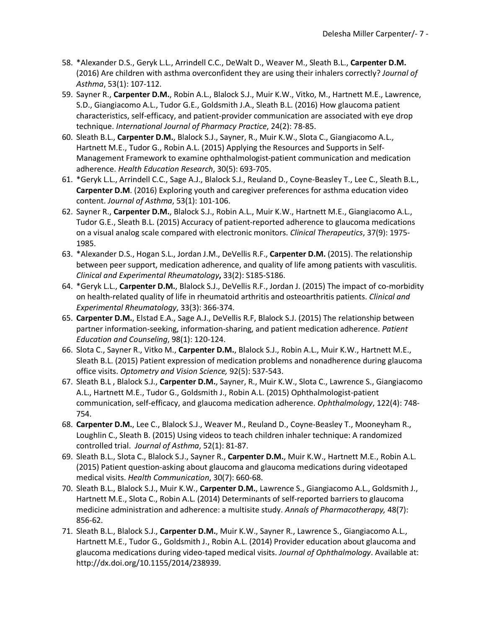- 58. \*Alexander D.S., Geryk L.L., Arrindell C.C., DeWalt D., Weaver M., Sleath B.L., **Carpenter D.M.**  (2016) Are children with asthma overconfident they are using their inhalers correctly? *Journal of Asthma*, 53(1): 107-112.
- 59. Sayner R., **Carpenter D.M.**, Robin A.L., Blalock S.J., Muir K.W., Vitko, M., Hartnett M.E., Lawrence, S.D., Giangiacomo A.L., Tudor G.E., Goldsmith J.A., Sleath B.L. (2016) How glaucoma patient characteristics, self-efficacy, and patient-provider communication are associated with eye drop technique. *International Journal of Pharmacy Practice*, 24(2): 78-85.
- 60. Sleath B.L., **Carpenter D.M.**, Blalock S.J., Sayner, R., Muir K.W., Slota C., Giangiacomo A.L., Hartnett M.E., Tudor G., Robin A.L. (2015) Applying the Resources and Supports in Self-Management Framework to examine ophthalmologist-patient communication and medication adherence. *Health Education Research*, 30(5): 693-705.
- 61. \*Geryk L.L., Arrindell C.C., Sage A.J., Blalock S.J., Reuland D., Coyne-Beasley T., Lee C., Sleath B.L., **Carpenter D.M**. (2016) Exploring youth and caregiver preferences for asthma education video content. *Journal of Asthma*, 53(1): 101-106.
- 62. Sayner R., **Carpenter D.M.**, Blalock S.J., Robin A.L., Muir K.W., Hartnett M.E., Giangiacomo A.L., Tudor G.E., Sleath B.L. (2015) Accuracy of patient-reported adherence to glaucoma medications on a visual analog scale compared with electronic monitors. *Clinical Therapeutics*, 37(9): 1975- 1985.
- 63. \*Alexander D.S., Hogan S.L., Jordan J.M., DeVellis R.F., **Carpenter D.M.** (2015). The relationship between peer support, medication adherence, and quality of life among patients with vasculitis. *Clinical and Experimental Rheumatology***,** 33(2): S185-S186.
- 64. \*Geryk L.L., **Carpenter D.M.**, Blalock S.J., DeVellis R.F., Jordan J. (2015) The impact of co-morbidity on health-related quality of life in rheumatoid arthritis and osteoarthritis patients. *Clinical and Experimental Rheumatology*, 33(3): 366-374.
- 65. **Carpenter D.M.**, Elstad E.A., Sage A.J., DeVellis R.F, Blalock S.J. (2015) The relationship between partner information-seeking, information-sharing, and patient medication adherence. *Patient Education and Counseling*, 98(1): 120-124.
- 66. Slota C., Sayner R., Vitko M., **Carpenter D.M.**, Blalock S.J., Robin A.L., Muir K.W., Hartnett M.E., Sleath B.L. (2015) Patient expression of medication problems and nonadherence during glaucoma office visits. *Optometry and Vision Science,* 92(5): 537-543.
- 67. Sleath B.L , Blalock S.J., **Carpenter D.M.**, Sayner, R., Muir K.W., Slota C., Lawrence S., Giangiacomo A.L., Hartnett M.E., Tudor G., Goldsmith J., Robin A.L. (2015) Ophthalmologist-patient communication, self-efficacy, and glaucoma medication adherence. *Ophthalmology*, 122(4): 748- 754.
- 68. **Carpenter D.M.**, Lee C., Blalock S.J., Weaver M., Reuland D., Coyne-Beasley T., Mooneyham R., Loughlin C., Sleath B. (2015) Using videos to teach children inhaler technique: A randomized controlled trial. *Journal of Asthma*, 52(1): 81-87.
- 69. Sleath B.L., Slota C., Blalock S.J., Sayner R., **Carpenter D.M.**, Muir K.W., Hartnett M.E., Robin A.L. (2015) Patient question-asking about glaucoma and glaucoma medications during videotaped medical visits. *Health Communication*, 30(7): 660-68.
- 70. Sleath B.L., Blalock S.J., Muir K.W., **Carpenter D.M.**, Lawrence S., Giangiacomo A.L., Goldsmith J., Hartnett M.E., Slota C., Robin A.L. (2014) Determinants of self-reported barriers to glaucoma medicine administration and adherence: a multisite study. *Annals of Pharmacotherapy,* 48(7): 856-62.
- 71. Sleath B.L., Blalock S.J., **Carpenter D.M.**, Muir K.W., Sayner R., Lawrence S., Giangiacomo A.L., Hartnett M.E., Tudor G., Goldsmith J., Robin A.L. (2014) Provider education about glaucoma and glaucoma medications during video-taped medical visits. *Journal of Ophthalmology*. Available at: http://dx.doi.org/10.1155/2014/238939.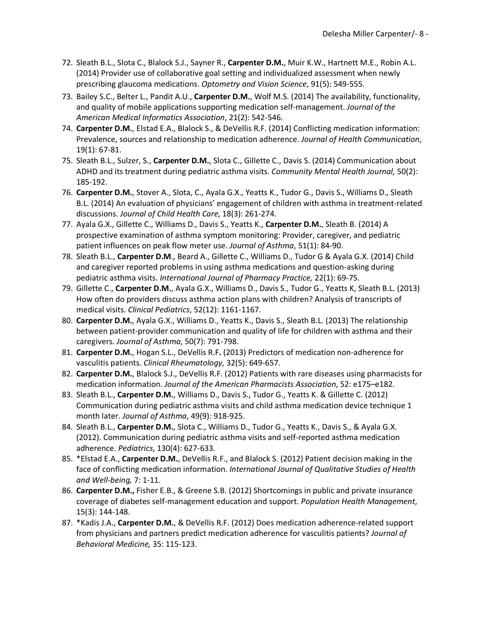- 72. Sleath B.L., Slota C., Blalock S.J., Sayner R., **Carpenter D.M.**, Muir K.W., Hartnett M.E., Robin A.L. (2014) Provider use of collaborative goal setting and individualized assessment when newly prescribing glaucoma medications. *Optometry and Vision Science*, 91(5): 549-555.
- 73. Bailey S.C., Belter L., Pandit A.U., **Carpenter D.M.**, Wolf M.S. (2014) The availability, functionality, and quality of mobile applications supporting medication self-management. *Journal of the American Medical Informatics Association*, 21(2): 542-546.
- 74. **Carpenter D.M.**, Elstad E.A., Blalock S., & DeVellis R.F. (2014) Conflicting medication information: Prevalence, sources and relationship to medication adherence. *Journal of Health Communication*, 19(1): 67-81.
- 75. Sleath B.L., Sulzer, S., **Carpenter D.M.**, Slota C., Gillette C., Davis S. (2014) Communication about ADHD and its treatment during pediatric asthma visits. *Community Mental Health Journal,* 50(2): 185-192.
- 76. **Carpenter D.M.**, Stover A., Slota, C., Ayala G.X., Yeatts K., Tudor G., Davis S., Williams D., Sleath B.L. (2014) An evaluation of physicians' engagement of children with asthma in treatment-related discussions. *Journal of Child Health Care*, 18(3): 261-274.
- 77. Ayala G.X., Gillette C., Williams D., Davis S., Yeatts K., **Carpenter D.M.**, Sleath B. (2014) A prospective examination of asthma symptom monitoring: Provider, caregiver, and pediatric patient influences on peak flow meter use. *Journal of Asthma*, 51(1): 84-90.
- 78. Sleath B.L., **Carpenter D.M**., Beard A., Gillette C., Williams D., Tudor G & Ayala G.X. (2014) Child and caregiver reported problems in using asthma medications and question-asking during pediatric asthma visits. *International Journal of Pharmacy Practice,* 22(1): 69-75.
- 79. Gillette C., **Carpenter D.M.**, Ayala G.X., Williams D., Davis S., Tudor G., Yeatts K, Sleath B.L. (2013) How often do providers discuss asthma action plans with children? Analysis of transcripts of medical visits. *Clinical Pediatrics*, 52(12): 1161-1167.
- 80. **Carpenter D.M.**, Ayala G.X., Williams D., Yeatts K., Davis S., Sleath B.L. (2013) The relationship between patient-provider communication and quality of life for children with asthma and their caregivers. *Journal of Asthma*, 50(7): 791-798.
- 81. **Carpenter D.M.**, Hogan S.L., DeVellis R.F**.** (2013) Predictors of medication non-adherence for vasculitis patients. *Clinical Rheumatology,* 32(5): 649-657.
- 82. **Carpenter D.M.**, Blalock S.J., DeVellis R.F. (2012) Patients with rare diseases using pharmacists for medication information. *Journal of the American Pharmacists Association*, 52: e175–e182.
- 83. Sleath B.L., **Carpenter D.M.**, Williams D., Davis S., Tudor G., Yeatts K. & Gillette C. (2012) Communication during pediatric asthma visits and child asthma medication device technique 1 month later. *Journal of Asthma*, 49(9)*:* 918-925.
- 84. Sleath B.L., **Carpenter D.M.**, Slota C., Williams D., Tudor G., Yeatts K., Davis S., & Ayala G.X. (2012). Communication during pediatric asthma visits and self-reported asthma medication adherence. *Pediatrics*, 130(4): 627-633*.*
- 85. \*Elstad E.A., **Carpenter D.M.**, DeVellis R.F., and Blalock S. (2012) Patient decision making in the face of conflicting medication information. *International Journal of Qualitative Studies of Health and Well-being,* 7: 1-11.
- 86. **Carpenter D.M.,** Fisher E.B., & Greene S.B. (2012) Shortcomings in public and private insurance coverage of diabetes self-management education and support. *Population Health Management*, 15(3): 144-148.
- 87. \*Kadis J.A., **Carpenter D.M.**, & DeVellis R.F. (2012) Does medication adherence-related support from physicians and partners predict medication adherence for vasculitis patients? *Journal of Behavioral Medicine,* 35: 115-123.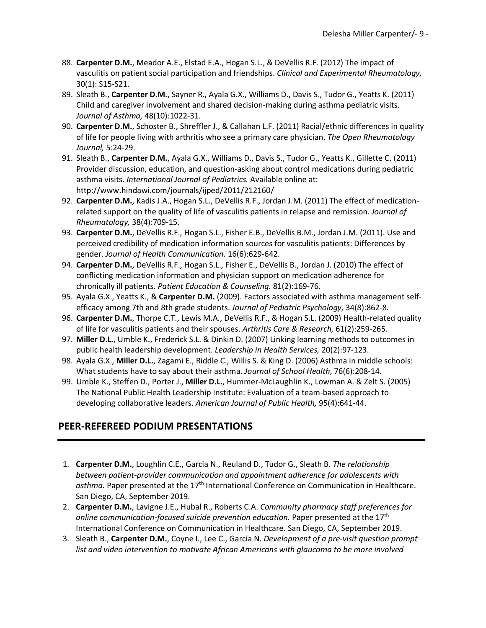- 88. **Carpenter D.M.**, Meador A.E., Elstad E.A., Hogan S.L., & DeVellis R.F. (2012) The impact of vasculitis on patient social participation and friendships. *Clinical and Experimental Rheumatology,*  30(1): S15-S21.
- 89. Sleath B., **Carpenter D.M.**, Sayner R., Ayala G.X., Williams D., Davis S., Tudor G., Yeatts K. (2011) Child and caregiver involvement and shared decision-making during asthma pediatric visits. *Journal of Asthma,* 48(10):1022-31.
- 90. **Carpenter D.M.**, Schoster B., Shreffler J., & Callahan L.F. (2011) Racial/ethnic differences in quality of life for people living with arthritis who see a primary care physician. *The Open Rheumatology Journal,* 5:24-29.
- 91. Sleath B., **Carpenter D.M.**, Ayala G.X., Williams D., Davis S., Tudor G., Yeatts K., Gillette C. (2011) Provider discussion, education, and question-asking about control medications during pediatric asthma visits. *International Journal of Pediatrics.* Available online at: http://www.hindawi.com/journals/ijped/2011/212160/
- 92. **Carpenter D.M.**, Kadis J.A., Hogan S.L., DeVellis R.F., Jordan J.M. (2011) The effect of medicationrelated support on the quality of life of vasculitis patients in relapse and remission. *Journal of Rheumatology,* 38(4):709-15.
- 93. **Carpenter D.M.**, DeVellis R.F., Hogan S.L., Fisher E.B., DeVellis B.M., Jordan J.M. (2011). Use and perceived credibility of medication information sources for vasculitis patients: Differences by gender. *Journal of Health Communication.* 16(6):629-642.
- 94. **Carpenter D.M.**, DeVellis R.F., Hogan S.L., Fisher E., DeVellis B., Jordan J. (2010) The effect of conflicting medication information and physician support on medication adherence for chronically ill patients. *Patient Education & Counseling.* 81(2):169-76.
- 95. Ayala G.X., Yeatts K., & **Carpenter D.M.** (2009). Factors associated with asthma management selfefficacy among 7th and 8th grade students. *Journal of Pediatric Psychology,* 34(8):862-8.
- 96. **Carpenter D.M.**, Thorpe C.T., Lewis M.A., DeVellis R.F., & Hogan S.L. (2009) Health-related quality of life for vasculitis patients and their spouses. *Arthritis Care & Research,* 61(2):259-265.
- 97. **Miller D.L.**, Umble K., Frederick S.L. & Dinkin D. (2007) Linking learning methods to outcomes in public health leadership development. *Leadership in Health Services,* 20(2):97-123.
- 98. Ayala G.X., **Miller D.L.**, Zagami E., Riddle C., Willis S. & King D. (2006) Asthma in middle schools: What students have to say about their asthma. *Journal of School Health*, 76(6):208-14.
- 99. Umble K., Steffen D., Porter J., **Miller D.L.**, Hummer-McLaughlin K., Lowman A. & Zelt S. (2005) The National Public Health Leadership Institute: Evaluation of a team-based approach to developing collaborative leaders. *American Journal of Public Health,* 95(4):641-44.

## **PEER-REFEREED PODIUM PRESENTATIONS**

- 1. **Carpenter D.M.**, Loughlin C.E., Garcia N., Reuland D., Tudor G., Sleath B. *The relationship between patient-provider communication and appointment adherence for adolescents with*  asthma. Paper presented at the 17<sup>th</sup> International Conference on Communication in Healthcare. San Diego, CA, September 2019.
- 2. **Carpenter D.M.**, Lavigne J.E., Hubal R., Roberts C.A. *Community pharmacy staff preferences for online communication-focused suicide prevention education.* Paper presented at the 17<sup>th</sup> International Conference on Communication in Healthcare. San Diego, CA, September 2019.
- 3. Sleath B., **Carpenter D.M.**, Coyne I., Lee C., Garcia N. *Development of a pre-visit question prompt list and video intervention to motivate African Americans with glaucoma to be more involved*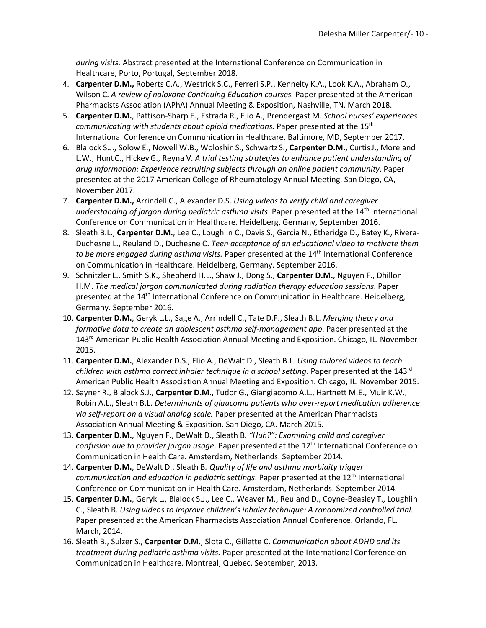*during visits.* Abstract presented at the International Conference on Communication in Healthcare, Porto, Portugal, September 2018.

- 4. **Carpenter D.M.,** Roberts C.A., Westrick S.C., Ferreri S.P., Kennelty K.A., Look K.A., Abraham O., Wilson C. *A review of naloxone Continuing Education courses.* Paper presented at the American Pharmacists Association (APhA) Annual Meeting & Exposition, Nashville, TN, March 2018.
- 5. **Carpenter D.M.**, Pattison-Sharp E., Estrada R., Elio A., Prendergast M. *School nurses' experiences communicating with students about opioid medications.* Paper presented at the 15th International Conference on Communication in Healthcare. Baltimore, MD, September 2017.
- 6. Blalock S.J., Solow E., Nowell W.B., Woloshin S., Schwartz S., **Carpenter D.M.**, CurtisJ., Moreland L.W., HuntC., HickeyG., Reyna V. *A trial testing strategies to enhance patient understanding of drug information: Experience recruiting subjects through an online patient community*. Paper presented at the 2017 American College of Rheumatology Annual Meeting. San Diego, CA, November 2017.
- 7. **Carpenter D.M.,** Arrindell C., Alexander D.S. *Using videos to verify child and caregiver*  understanding of jargon during pediatric asthma visits. Paper presented at the 14<sup>th</sup> International Conference on Communication in Healthcare. Heidelberg, Germany, September 2016.
- 8. Sleath B.L., **Carpenter D.M.**, Lee C., Loughlin C., Davis S., Garcia N., Etheridge D., Batey K., Rivera-Duchesne L., Reuland D., Duchesne C. *Teen acceptance of an educational video to motivate them to be more engaged during asthma visits.* Paper presented at the 14th International Conference on Communication in Healthcare. Heidelberg, Germany. September 2016.
- 9. Schnitzler L., Smith S.K., Shepherd H.L., Shaw J., Dong S., **Carpenter D.M.**, Nguyen F., Dhillon H.M. *The medical jargon communicated during radiation therapy education sessions*. Paper presented at the 14<sup>th</sup> International Conference on Communication in Healthcare. Heidelberg, Germany. September 2016.
- 10. **Carpenter D.M.**, Geryk L.L., Sage A., Arrindell C., Tate D.F., Sleath B.L. *Merging theory and formative data to create an adolescent asthma self-management app*. Paper presented at the 143<sup>rd</sup> American Public Health Association Annual Meeting and Exposition. Chicago, IL. November 2015.
- 11. **Carpenter D.M.**, Alexander D.S., Elio A., DeWalt D., Sleath B.L. *Using tailored videos to teach children with asthma correct inhaler technique in a school setting*. Paper presented at the 143rd American Public Health Association Annual Meeting and Exposition. Chicago, IL. November 2015.
- 12. Sayner R., Blalock S.J., **Carpenter D.M.**, Tudor G., Giangiacomo A.L., Hartnett M.E., Muir K.W., Robin A.L., Sleath B.L. *Determinants of glaucoma patients who over-report medication adherence via self-report on a visual analog scale.* Paper presented at the American Pharmacists Association Annual Meeting & Exposition. San Diego, CA. March 2015.
- 13. **Carpenter D.M.**, Nguyen F., DeWalt D., Sleath B*. "Huh?": Examining child and caregiver confusion due to provider jargon usage*. Paper presented at the 12th International Conference on Communication in Health Care. Amsterdam, Netherlands. September 2014.
- 14. **Carpenter D.M.**, DeWalt D., Sleath B*. Quality of life and asthma morbidity trigger communication and education in pediatric settings*. Paper presented at the 12th International Conference on Communication in Health Care. Amsterdam, Netherlands. September 2014.
- 15. **Carpenter D.M.**, Geryk L., Blalock S.J., Lee C., Weaver M., Reuland D., Coyne-Beasley T., Loughlin C., Sleath B. *Using videos to improve children's inhaler technique: A randomized controlled trial.* Paper presented at the American Pharmacists Association Annual Conference. Orlando, FL. March, 2014.
- 16. Sleath B., Sulzer S., **Carpenter D.M.**, Slota C., Gillette C. *Communication about ADHD and its treatment during pediatric asthma visits.* Paper presented at the International Conference on Communication in Healthcare. Montreal, Quebec. September, 2013.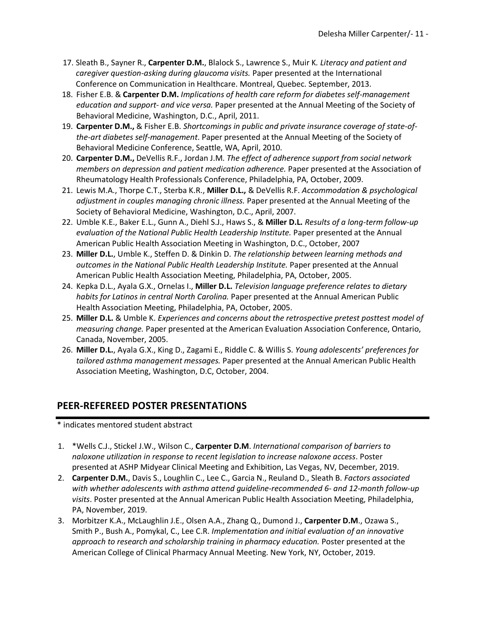- 17. Sleath B., Sayner R., **Carpenter D.M.**, Blalock S., Lawrence S., Muir K*. Literacy and patient and caregiver question-asking during glaucoma visits.* Paper presented at the International Conference on Communication in Healthcare. Montreal, Quebec. September, 2013.
- 18. Fisher E.B. & **Carpenter D.M.** *Implications of health care reform for diabetes self-management education and support- and vice versa.* Paper presented at the Annual Meeting of the Society of Behavioral Medicine, Washington, D.C., April, 2011.
- 19. **Carpenter D.M.,** & Fisher E.B. *Shortcomings in public and private insurance coverage of state-ofthe-art diabetes self-management*. Paper presented at the Annual Meeting of the Society of Behavioral Medicine Conference, Seattle, WA, April, 2010.
- 20. **Carpenter D.M.,** DeVellis R.F., Jordan J.M. *The effect of adherence support from social network members on depression and patient medication adherence.* Paper presented at the Association of Rheumatology Health Professionals Conference, Philadelphia, PA, October, 2009.
- 21. Lewis M.A., Thorpe C.T., Sterba K.R., **Miller D.L.,** & DeVellis R.F. *Accommodation & psychological adjustment in couples managing chronic illness.* Paper presented at the Annual Meeting of the Society of Behavioral Medicine, Washington, D.C., April, 2007.
- 22. Umble K.E., Baker E.L., Gunn A., Diehl S.J., Haws S., & **Miller D.L.** *Results of a long-term follow-up evaluation of the National Public Health Leadership Institute.* Paper presented at the Annual American Public Health Association Meeting in Washington, D.C., October, 2007
- 23. **Miller D.L.**, Umble K., Steffen D. & Dinkin D. *The relationship between learning methods and outcomes in the National Public Health Leadership Institute.* Paper presented at the Annual American Public Health Association Meeting, Philadelphia, PA, October, 2005.
- 24. Kepka D.L., Ayala G.X., Ornelas I., **Miller D.L.** *Television language preference relates to dietary habits for Latinos in central North Carolina.* Paper presented at the Annual American Public Health Association Meeting, Philadelphia, PA, October, 2005.
- 25. **Miller D.L.** & Umble K. *Experiences and concerns about the retrospective pretest posttest model of measuring change.* Paper presented at the American Evaluation Association Conference, Ontario, Canada, November, 2005.
- 26. **Miller D.L.**, Ayala G.X., King D., Zagami E., Riddle C. & Willis S. *Young adolescents' preferences for tailored asthma management messages.* Paper presented at the Annual American Public Health Association Meeting, Washington, D.C, October, 2004.

## **PEER-REFEREED POSTER PRESENTATIONS**

\* indicates mentored student abstract

- 1. \*Wells C.J., Stickel J.W., Wilson C., **Carpenter D.M**. *International comparison of barriers to naloxone utilization in response to recent legislation to increase naloxone access*. Poster presented at ASHP Midyear Clinical Meeting and Exhibition, Las Vegas, NV, December, 2019.
- 2. **Carpenter D.M.**, Davis S., Loughlin C., Lee C., Garcia N., Reuland D., Sleath B. *Factors associated with whether adolescents with asthma attend guideline-recommended 6- and 12-month follow-up visits*. Poster presented at the Annual American Public Health Association Meeting, Philadelphia, PA, November, 2019.
- 3. Morbitzer K.A., McLaughlin J.E., Olsen A.A., Zhang Q., Dumond J., **Carpenter D.M**., Ozawa S., Smith P., Bush A., Pomykal, C., Lee C.R. *Implementation and initial evaluation of an innovative approach to research and scholarship training in pharmacy education.* Poster presented at the American College of Clinical Pharmacy Annual Meeting. New York, NY, October, 2019.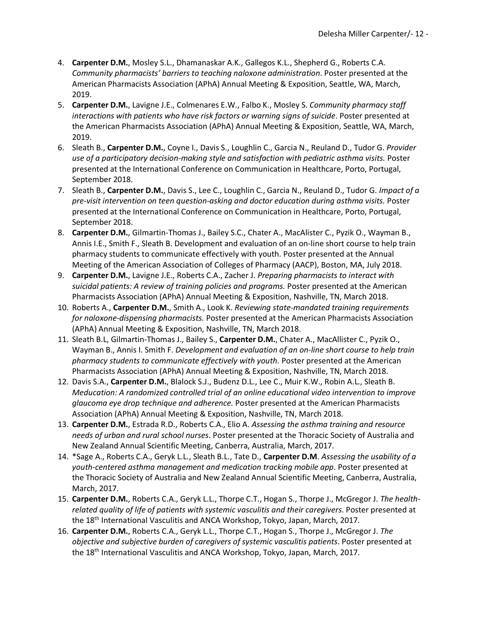- 4. **Carpenter D.M.**, Mosley S.L., Dhamanaskar A.K., Gallegos K.L., Shepherd G., Roberts C.A. *Community pharmacists' barriers to teaching naloxone administration*. Poster presented at the American Pharmacists Association (APhA) Annual Meeting & Exposition, Seattle, WA, March, 2019.
- 5. **Carpenter D.M.**, Lavigne J.E., Colmenares E.W., Falbo K., Mosley S. *Community pharmacy staff interactions with patients who have risk factors or warning signs of suicide*. Poster presented at the American Pharmacists Association (APhA) Annual Meeting & Exposition, Seattle, WA, March, 2019.
- 6. Sleath B., **Carpenter D.M.**, Coyne I., Davis S., Loughlin C., Garcia N., Reuland D., Tudor G. *Provider use of a participatory decision-making style and satisfaction with pediatric asthma visits.* Poster presented at the International Conference on Communication in Healthcare, Porto, Portugal, September 2018.
- 7. Sleath B., **Carpenter D.M.**, Davis S., Lee C., Loughlin C., Garcia N., Reuland D., Tudor G. *Impact of a pre-visit intervention on teen question-asking and doctor education during asthma visits.* Poster presented at the International Conference on Communication in Healthcare, Porto, Portugal, September 2018.
- 8. **Carpenter D.M.**, Gilmartin-Thomas J., Bailey S.C., Chater A., MacAlister C., Pyzik O., Wayman B., Annis I.E., Smith F., Sleath B. Development and evaluation of an on-line short course to help train pharmacy students to communicate effectively with youth. Poster presented at the Annual Meeting of the American Association of Colleges of Pharmacy (AACP), Boston, MA, July 2018.
- 9. **Carpenter D.M.**, Lavigne J.E., Roberts C.A., Zacher J. *Preparing pharmacists to interact with suicidal patients: A review of training policies and programs.* Poster presented at the American Pharmacists Association (APhA) Annual Meeting & Exposition, Nashville, TN, March 2018.
- 10. Roberts A., **Carpenter D.M.**, Smith A., Look K. *Reviewing state-mandated training requirements for naloxone-dispensing pharmacists.* Poster presented at the American Pharmacists Association (APhA) Annual Meeting & Exposition, Nashville, TN, March 2018.
- 11. Sleath B.L, Gilmartin-Thomas J., Bailey S., **Carpenter D.M.**, Chater A., MacAllister C., Pyzik O., Wayman B., Annis I. Smith F. *Development and evaluation of an on-line short course to help train pharmacy students to communicate effectively with youth.* Poster presented at the American Pharmacists Association (APhA) Annual Meeting & Exposition, Nashville, TN, March 2018.
- 12. Davis S.A., **Carpenter D.M.**, Blalock S.J., Budenz D.L., Lee C., Muir K.W., Robin A.L., Sleath B. *Meducation: A randomized controlled trial of an online educational video intervention to improve glaucoma eye drop technique and adherence.* Poster presented at the American Pharmacists Association (APhA) Annual Meeting & Exposition, Nashville, TN, March 2018.
- 13. **Carpenter D.M.**, Estrada R.D., Roberts C.A., Elio A. *Assessing the asthma training and resource needs of urban and rural school nurses*. Poster presented at the Thoracic Society of Australia and New Zealand Annual Scientific Meeting, Canberra, Australia, March, 2017.
- 14. \*Sage A., Roberts C.A., Geryk L.L., Sleath B.L., Tate D., **Carpenter D.M**. *Assessing the usability of a youth-centered asthma management and medication tracking mobile app*. Poster presented at the Thoracic Society of Australia and New Zealand Annual Scientific Meeting, Canberra, Australia, March, 2017.
- 15. **Carpenter D.M.**, Roberts C.A., Geryk L.L., Thorpe C.T., Hogan S., Thorpe J., McGregor J. *The healthrelated quality of life of patients with systemic vasculitis and their caregivers*. Poster presented at the 18th International Vasculitis and ANCA Workshop, Tokyo, Japan, March, 2017.
- 16. **Carpenter D.M.**, Roberts C.A., Geryk L.L., Thorpe C.T., Hogan S., Thorpe J., McGregor J. *The objective and subjective burden of caregivers of systemic vasculitis patients*. Poster presented at the 18<sup>th</sup> International Vasculitis and ANCA Workshop, Tokyo, Japan, March, 2017.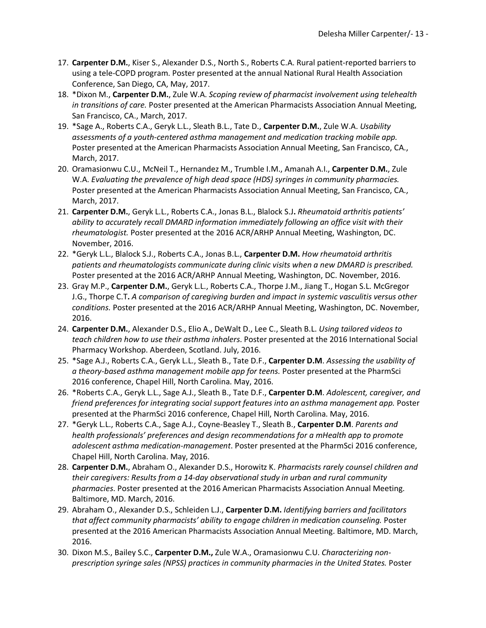- 17. **Carpenter D.M.**, Kiser S., Alexander D.S., North S., Roberts C.A. Rural patient-reported barriers to using a tele-COPD program. Poster presented at the annual National Rural Health Association Conference, San Diego, CA, May, 2017.
- 18. \*Dixon M., **Carpenter D.M.**, Zule W.A. *Scoping review of pharmacist involvement using telehealth in transitions of care.* Poster presented at the American Pharmacists Association Annual Meeting, San Francisco, CA., March, 2017.
- 19. \*Sage A., Roberts C.A., Geryk L.L., Sleath B.L., Tate D., **Carpenter D.M.**, Zule W.A. *Usability assessments of a youth-centered asthma management and medication tracking mobile app.* Poster presented at the American Pharmacists Association Annual Meeting, San Francisco, CA., March, 2017.
- 20. Oramasionwu C.U., McNeil T., Hernandez M., Trumble I.M., Amanah A.I., **Carpenter D.M.**, Zule W.A. *Evaluating the prevalence of high dead space (HDS) syringes in community pharmacies.* Poster presented at the American Pharmacists Association Annual Meeting, San Francisco, CA., March, 2017.
- 21. **Carpenter D.M.**, Geryk L.L., Roberts C.A., Jonas B.L., Blalock S.J**.** *Rheumatoid arthritis patients' ability to accurately recall DMARD information immediately following an office visit with their rheumatologist.* Poster presented at the 2016 ACR/ARHP Annual Meeting, Washington, DC. November, 2016.
- 22. \*Geryk L.L., Blalock S.J., Roberts C.A., Jonas B.L., **Carpenter D.M.** *How rheumatoid arthritis patients and rheumatologists communicate during clinic visits when a new DMARD is prescribed.* Poster presented at the 2016 ACR/ARHP Annual Meeting, Washington, DC. November, 2016.
- 23. Gray M.P., **Carpenter D.M.**, Geryk L.L., Roberts C.A., Thorpe J.M., Jiang T., Hogan S.L. McGregor J.G., Thorpe C.T**.** *A comparison of caregiving burden and impact in systemic vasculitis versus other conditions.* Poster presented at the 2016 ACR/ARHP Annual Meeting, Washington, DC. November, 2016.
- 24. **Carpenter D.M.**, Alexander D.S., Elio A., DeWalt D., Lee C., Sleath B.L. *Using tailored videos to teach children how to use their asthma inhalers*. Poster presented at the 2016 International Social Pharmacy Workshop. Aberdeen, Scotland. July, 2016.
- 25. \*Sage A.J., Roberts C.A., Geryk L.L., Sleath B., Tate D.F., **Carpenter D.M**. *Assessing the usability of a theory-based asthma management mobile app for teens.* Poster presented at the PharmSci 2016 conference, Chapel Hill, North Carolina. May, 2016.
- 26. \*Roberts C.A., Geryk L.L., Sage A.J., Sleath B., Tate D.F., **Carpenter D.M**. *Adolescent, caregiver, and friend preferences for integrating social support features into an asthma management app.* Poster presented at the PharmSci 2016 conference, Chapel Hill, North Carolina. May, 2016.
- 27. \*Geryk L.L., Roberts C.A., Sage A.J., Coyne-Beasley T., Sleath B., **Carpenter D.M**. *Parents and health professionals' preferences and design recommendations for a mHealth app to promote adolescent asthma medication-management*. Poster presented at the PharmSci 2016 conference, Chapel Hill, North Carolina. May, 2016.
- 28. **Carpenter D.M.**, Abraham O., Alexander D.S., Horowitz K. *Pharmacists rarely counsel children and their caregivers: Results from a 14-day observational study in urban and rural community pharmacies*. Poster presented at the 2016 American Pharmacists Association Annual Meeting. Baltimore, MD. March, 2016.
- 29. Abraham O., Alexander D.S., Schleiden L.J., **Carpenter D.M.** *Identifying barriers and facilitators that affect community pharmacists' ability to engage children in medication counseling.* Poster presented at the 2016 American Pharmacists Association Annual Meeting. Baltimore, MD. March, 2016.
- 30. Dixon M.S., Bailey S.C., **Carpenter D.M.,** Zule W.A., Oramasionwu C.U. *Characterizing nonprescription syringe sales (NPSS) practices in community pharmacies in the United States.* Poster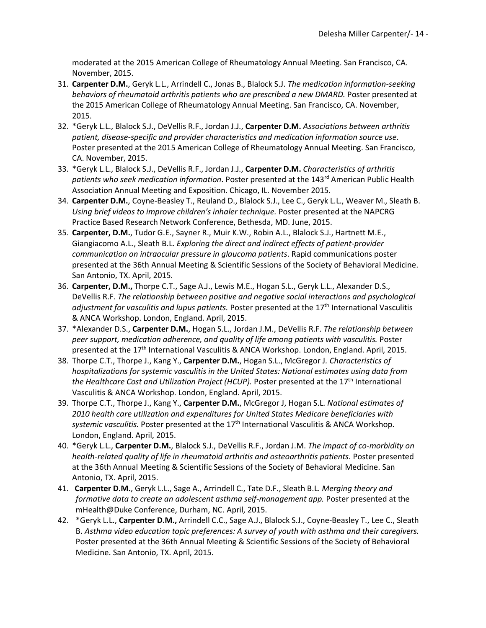moderated at the 2015 American College of Rheumatology Annual Meeting. San Francisco, CA. November, 2015.

- 31. **Carpenter D.M.**, Geryk L.L., Arrindell C., Jonas B., Blalock S.J. *The medication information-seeking behaviors of rheumatoid arthritis patients who are prescribed a new DMARD.* Poster presented at the 2015 American College of Rheumatology Annual Meeting. San Francisco, CA. November, 2015.
- 32. \*Geryk L.L., Blalock S.J., DeVellis R.F., Jordan J.J., **Carpenter D.M.** *Associations between arthritis patient, disease-specific and provider characteristics and medication information source use*. Poster presented at the 2015 American College of Rheumatology Annual Meeting. San Francisco, CA. November, 2015.
- 33. \*Geryk L.L., Blalock S.J., DeVellis R.F., Jordan J.J., **Carpenter D.M.** *Characteristics of arthritis*  patients who seek medication information. Poster presented at the 143<sup>rd</sup> American Public Health Association Annual Meeting and Exposition. Chicago, IL. November 2015.
- 34. **Carpenter D.M.**, Coyne-Beasley T., Reuland D., Blalock S.J., Lee C., Geryk L.L., Weaver M., Sleath B. *Using brief videos to improve children's inhaler technique.* Poster presented at the NAPCRG Practice Based Research Network Conference, Bethesda, MD. June, 2015.
- 35. **Carpenter, D.M.**, Tudor G.E., Sayner R., Muir K.W., Robin A.L., Blalock S.J., Hartnett M.E., Giangiacomo A.L., Sleath B.L. *Exploring the direct and indirect effects of patient-provider communication on intraocular pressure in glaucoma patients*. Rapid communications poster presented at the 36th Annual Meeting & Scientific Sessions of the Society of Behavioral Medicine. San Antonio, TX. April, 2015.
- 36. **Carpenter, D.M.,** Thorpe C.T., Sage A.J., Lewis M.E., Hogan S.L., Geryk L.L., Alexander D.S., DeVellis R.F. *The relationship between positive and negative social interactions and psychological adjustment for vasculitis and lupus patients.* Poster presented at the 17th International Vasculitis & ANCA Workshop. London, England. April, 2015.
- 37. \*Alexander D.S., **Carpenter D.M.**, Hogan S.L., Jordan J.M., DeVellis R.F. *The relationship between peer support, medication adherence, and quality of life among patients with vasculitis.* Poster presented at the 17<sup>th</sup> International Vasculitis & ANCA Workshop. London, England. April, 2015.
- 38. Thorpe C.T., Thorpe J., Kang Y., **Carpenter D.M.**, Hogan S.L., McGregor J*. Characteristics of hospitalizations for systemic vasculitis in the United States: National estimates using data from the Healthcare Cost and Utilization Project (HCUP).* Poster presented at the 17<sup>th</sup> International Vasculitis & ANCA Workshop. London, England. April, 2015.
- 39. Thorpe C.T., Thorpe J., Kang Y., **Carpenter D.M.**, McGregor J, Hogan S.L. *National estimates of 2010 health care utilization and expenditures for United States Medicare beneficiaries with*  systemic vasculitis. Poster presented at the 17<sup>th</sup> International Vasculitis & ANCA Workshop. London, England. April, 2015.
- 40. \*Geryk L.L., **Carpenter D.M.**, Blalock S.J., DeVellis R.F., Jordan J.M. *The impact of co-morbidity on health-related quality of life in rheumatoid arthritis and osteoarthritis patients.* Poster presented at the 36th Annual Meeting & Scientific Sessions of the Society of Behavioral Medicine. San Antonio, TX. April, 2015.
- 41. **Carpenter D.M.**, Geryk L.L., Sage A., Arrindell C., Tate D.F., Sleath B.L. *Merging theory and formative data to create an adolescent asthma self-management app.* Poster presented at the mHealth@Duke Conference, Durham, NC. April, 2015.
- 42. \*Geryk L.L., **Carpenter D.M.,** Arrindell C.C., Sage A.J., Blalock S.J., Coyne-Beasley T., Lee C., Sleath B. *Asthma video education topic preferences: A survey of youth with asthma and their caregivers.*  Poster presented at the 36th Annual Meeting & Scientific Sessions of the Society of Behavioral Medicine. San Antonio, TX. April, 2015.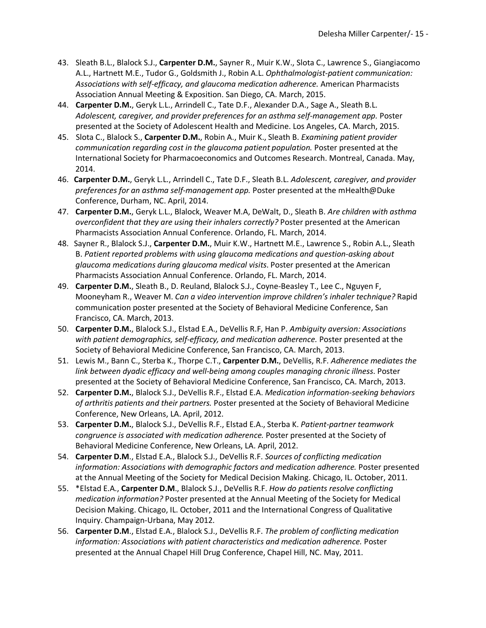- 43. Sleath B.L., Blalock S.J., **Carpenter D.M.**, Sayner R., Muir K.W., Slota C., Lawrence S., Giangiacomo A.L., Hartnett M.E., Tudor G., Goldsmith J., Robin A.L. *Ophthalmologist-patient communication: Associations with self-efficacy, and glaucoma medication adherence.* American Pharmacists Association Annual Meeting & Exposition. San Diego, CA. March, 2015.
- 44. **Carpenter D.M.**, Geryk L.L., Arrindell C., Tate D.F., Alexander D.A., Sage A., Sleath B.L. *Adolescent, caregiver, and provider preferences for an asthma self-management app.* Poster presented at the Society of Adolescent Health and Medicine. Los Angeles, CA. March, 2015.
- 45. Slota C., Blalock S., **Carpenter D.M.**, Robin A., Muir K., Sleath B. *Examining patient provider communication regarding cost in the glaucoma patient population.* Poster presented at the International Society for Pharmacoeconomics and Outcomes Research. Montreal, Canada. May, 2014.
- 46. **Carpenter D.M.**, Geryk L.L., Arrindell C., Tate D.F., Sleath B.L. *Adolescent, caregiver, and provider preferences for an asthma self-management app.* Poster presented at the mHealth@Duke Conference, Durham, NC. April, 2014.
- 47. **Carpenter D.M.**, Geryk L.L., Blalock, Weaver M.A, DeWalt, D., Sleath B. *Are children with asthma overconfident that they are using their inhalers correctly?* Poster presented at the American Pharmacists Association Annual Conference. Orlando, FL. March, 2014.
- 48. Sayner R., Blalock S.J., **Carpenter D.M.**, Muir K.W., Hartnett M.E., Lawrence S., Robin A.L., Sleath B. *Patient reported problems with using glaucoma medications and question-asking about glaucoma medications during glaucoma medical visits*. Poster presented at the American Pharmacists Association Annual Conference. Orlando, FL. March, 2014.
- 49. **Carpenter D.M.**, Sleath B., D. Reuland, Blalock S.J., Coyne-Beasley T., Lee C., Nguyen F, Mooneyham R., Weaver M. *Can a video intervention improve children's inhaler technique?* Rapid communication poster presented at the Society of Behavioral Medicine Conference, San Francisco, CA. March, 2013.
- 50. **Carpenter D.M.**, Blalock S.J., Elstad E.A., DeVellis R.F, Han P. *Ambiguity aversion: Associations with patient demographics, self-efficacy, and medication adherence.* Poster presented at the Society of Behavioral Medicine Conference, San Francisco, CA. March, 2013.
- 51. Lewis M., Bann C., Sterba K., Thorpe C.T., **Carpenter D.M.**, DeVellis, R.F. *Adherence mediates the link between dyadic efficacy and well-being among couples managing chronic illness*. Poster presented at the Society of Behavioral Medicine Conference, San Francisco, CA. March, 2013.
- 52. **Carpenter D.M.**, Blalock S.J., DeVellis R.F., Elstad E.A. *Medication information-seeking behaviors of arthritis patients and their partners.* Poster presented at the Society of Behavioral Medicine Conference, New Orleans, LA. April, 2012.
- 53. **Carpenter D.M.**, Blalock S.J., DeVellis R.F., Elstad E.A., Sterba K. *Patient-partner teamwork congruence is associated with medication adherence.* Poster presented at the Society of Behavioral Medicine Conference, New Orleans, LA. April, 2012.
- 54. **Carpenter D.M**., Elstad E.A., Blalock S.J., DeVellis R.F. *Sources of conflicting medication information: Associations with demographic factors and medication adherence.* Poster presented at the Annual Meeting of the Society for Medical Decision Making. Chicago, IL. October, 2011.
- 55. \*Elstad E.A., **Carpenter D.M**., Blalock S.J., DeVellis R.F. *How do patients resolve conflicting medication information?* Poster presented at the Annual Meeting of the Society for Medical Decision Making. Chicago, IL. October, 2011 and the International Congress of Qualitative Inquiry. Champaign-Urbana, May 2012.
- 56. **Carpenter D.M**., Elstad E.A., Blalock S.J., DeVellis R.F. *The problem of conflicting medication information: Associations with patient characteristics and medication adherence.* Poster presented at the Annual Chapel Hill Drug Conference, Chapel Hill, NC. May, 2011.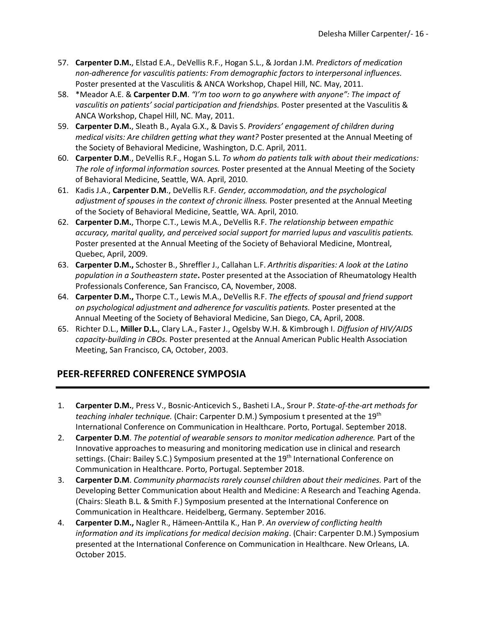- 57. **Carpenter D.M.**, Elstad E.A., DeVellis R.F., Hogan S.L., & Jordan J.M. *Predictors of medication non-adherence for vasculitis patients: From demographic factors to interpersonal influences.*  Poster presented at the Vasculitis & ANCA Workshop, Chapel Hill, NC. May, 2011.
- 58. \*Meador A.E. & **Carpenter D.M**. *"I'm too worn to go anywhere with anyone": The impact of vasculitis on patients' social participation and friendships.* Poster presented at the Vasculitis & ANCA Workshop, Chapel Hill, NC. May, 2011.
- 59. **Carpenter D.M.**, Sleath B., Ayala G.X., & Davis S. *Providers' engagement of children during medical visits: Are children getting what they want?* Poster presented at the Annual Meeting of the Society of Behavioral Medicine, Washington, D.C. April, 2011.
- 60. **Carpenter D.M**., DeVellis R.F., Hogan S.L. *To whom do patients talk with about their medications: The role of informal information sources.* Poster presented at the Annual Meeting of the Society of Behavioral Medicine, Seattle, WA. April, 2010.
- 61. Kadis J.A., **Carpenter D.M**., DeVellis R.F. *Gender, accommodation, and the psychological adjustment of spouses in the context of chronic illness.* Poster presented at the Annual Meeting of the Society of Behavioral Medicine, Seattle, WA. April, 2010.
- 62. **Carpenter D.M.**, Thorpe C.T., Lewis M.A., DeVellis R.F. *The relationship between empathic accuracy, marital quality, and perceived social support for married lupus and vasculitis patients.* Poster presented at the Annual Meeting of the Society of Behavioral Medicine, Montreal, Quebec, April, 2009.
- 63. **Carpenter D.M.,** Schoster B., Shreffler J., Callahan L.F. *Arthritis disparities: A look at the Latino population in a Southeastern state***.** Poster presented at the Association of Rheumatology Health Professionals Conference, San Francisco, CA, November, 2008.
- 64. **Carpenter D.M.,** Thorpe C.T., Lewis M.A., DeVellis R.F. *The effects of spousal and friend support on psychological adjustment and adherence for vasculitis patients.* Poster presented at the Annual Meeting of the Society of Behavioral Medicine, San Diego, CA, April, 2008.
- 65. Richter D.L., **Miller D.L.**, Clary L.A., Faster J., Ogelsby W.H. & Kimbrough I. *Diffusion of HIV/AIDS capacity-building in CBOs.* Poster presented at the Annual American Public Health Association Meeting, San Francisco, CA, October, 2003.

## **PEER-REFERRED CONFERENCE SYMPOSIA**

- 1. **Carpenter D.M.**, Press V., Bosnic-Anticevich S., Basheti I.A., Srour P. *State-of-the-art methods for teaching inhaler technique.* (Chair: Carpenter D.M.) Symposium t presented at the 19th International Conference on Communication in Healthcare. Porto, Portugal. September 2018.
- 2. **Carpenter D.M**. *The potential of wearable sensors to monitor medication adherence.* Part of the Innovative approaches to measuring and monitoring medication use in clinical and research settings. (Chair: Bailey S.C.) Symposium presented at the 19<sup>th</sup> International Conference on Communication in Healthcare. Porto, Portugal. September 2018.
- 3. **Carpenter D.M**. *Community pharmacists rarely counsel children about their medicines.* Part of the Developing Better Communication about Health and Medicine: A Research and Teaching Agenda. (Chairs: Sleath B.L. & Smith F.) Symposium presented at the International Conference on Communication in Healthcare. Heidelberg, Germany. September 2016.
- 4. **Carpenter D.M.,** Nagler R., Hämeen-Anttila K., Han P. *An overview of conflicting health information and its implications for medical decision making*. (Chair: Carpenter D.M.) Symposium presented at the International Conference on Communication in Healthcare. New Orleans, LA. October 2015.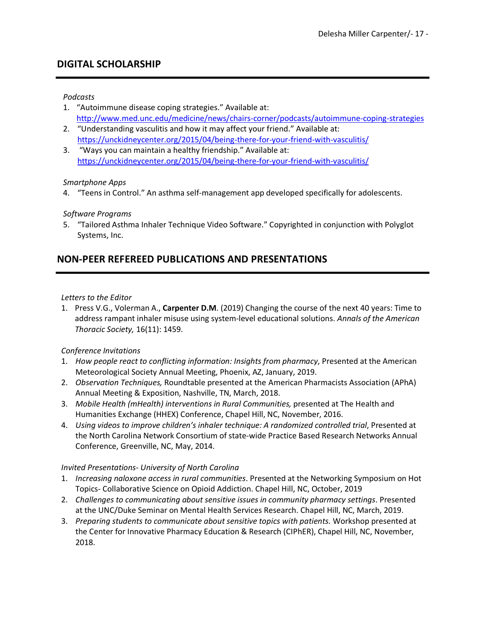## **DIGITAL SCHOLARSHIP**

#### *Podcasts*

- 1. "Autoimmune disease coping strategies." Available at: http://www.med.unc.edu/medicine/news/chairs-corner/podcasts/autoimmune-coping-strategies
- 2. "Understanding vasculitis and how it may affect your friend." Available at: https://unckidneycenter.org/2015/04/being-there-for-your-friend-with-vasculitis/
- 3. "Ways you can maintain a healthy friendship." Available at: https://unckidneycenter.org/2015/04/being-there-for-your-friend-with-vasculitis/

#### *Smartphone Apps*

4. "Teens in Control." An asthma self-management app developed specifically for adolescents.

#### *Software Programs*

5. "Tailored Asthma Inhaler Technique Video Software." Copyrighted in conjunction with Polyglot Systems, Inc.

## **NON-PEER REFEREED PUBLICATIONS AND PRESENTATIONS**

#### *Letters to the Editor*

1. Press V.G., Volerman A., **Carpenter D.M**. (2019) Changing the course of the next 40 years: Time to address rampant inhaler misuse using system-level educational solutions. *Annals of the American Thoracic Society,* 16(11): 1459.

#### *Conference Invitations*

- 1. *How people react to conflicting information: Insights from pharmacy*, Presented at the American Meteorological Society Annual Meeting, Phoenix, AZ, January, 2019.
- 2. *Observation Techniques,* Roundtable presented at the American Pharmacists Association (APhA) Annual Meeting & Exposition, Nashville, TN, March, 2018.
- 3. *Mobile Health (mHealth) interventions in Rural Communities,* presented at The Health and Humanities Exchange (HHEX) Conference, Chapel Hill, NC, November, 2016.
- 4. *Using videos to improve children's inhaler technique: A randomized controlled trial*, Presented at the North Carolina Network Consortium of state-wide Practice Based Research Networks Annual Conference, Greenville, NC, May, 2014.

#### *Invited Presentations- University of North Carolina*

- 1. *Increasing naloxone access in rural communities*. Presented at the Networking Symposium on Hot Topics- Collaborative Science on Opioid Addiction. Chapel Hill, NC, October, 2019
- 2. *Challenges to communicating about sensitive issues in community pharmacy settings*. Presented at the UNC/Duke Seminar on Mental Health Services Research. Chapel Hill, NC, March, 2019.
- 3. *Preparing students to communicate about sensitive topics with patients.* Workshop presented at the Center for Innovative Pharmacy Education & Research (CIPhER), Chapel Hill, NC, November, 2018.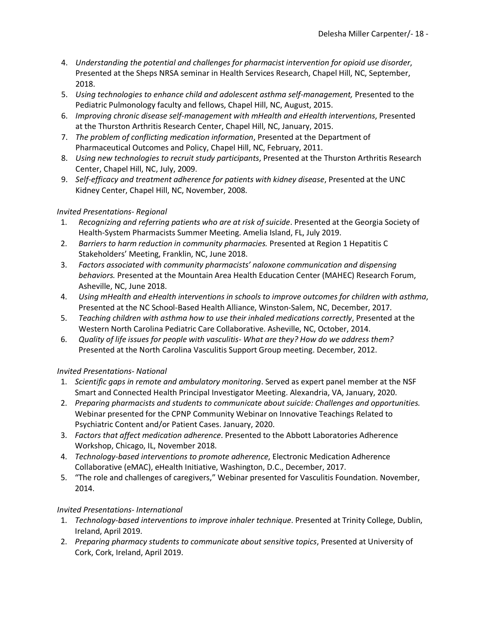- 4. *Understanding the potential and challenges for pharmacist intervention for opioid use disorder*, Presented at the Sheps NRSA seminar in Health Services Research, Chapel Hill, NC, September, 2018.
- 5. *Using technologies to enhance child and adolescent asthma self-management,* Presented to the Pediatric Pulmonology faculty and fellows, Chapel Hill, NC, August, 2015.
- 6. *Improving chronic disease self-management with mHealth and eHealth interventions*, Presented at the Thurston Arthritis Research Center, Chapel Hill, NC, January, 2015.
- 7. *The problem of conflicting medication information*, Presented at the Department of Pharmaceutical Outcomes and Policy, Chapel Hill, NC, February, 2011.
- 8. *Using new technologies to recruit study participants*, Presented at the Thurston Arthritis Research Center, Chapel Hill, NC, July, 2009.
- 9. *Self-efficacy and treatment adherence for patients with kidney disease*, Presented at the UNC Kidney Center, Chapel Hill, NC, November, 2008.

### *Invited Presentations- Regional*

- 1. *Recognizing and referring patients who are at risk of suicide*. Presented at the Georgia Society of Health-System Pharmacists Summer Meeting. Amelia Island, FL, July 2019.
- 2. *Barriers to harm reduction in community pharmacies.* Presented at Region 1 Hepatitis C Stakeholders' Meeting, Franklin, NC, June 2018.
- 3. *Factors associated with community pharmacists' naloxone communication and dispensing behaviors.* Presented at the Mountain Area Health Education Center (MAHEC) Research Forum, Asheville, NC, June 2018.
- 4. *Using mHealth and eHealth interventions in schools to improve outcomes for children with asthma*, Presented at the NC School-Based Health Alliance, Winston-Salem, NC, December, 2017.
- 5. *Teaching children with asthma how to use their inhaled medications correctly*, Presented at the Western North Carolina Pediatric Care Collaborative. Asheville, NC, October, 2014.
- 6. *Quality of life issues for people with vasculitis- What are they? How do we address them?* Presented at the North Carolina Vasculitis Support Group meeting. December, 2012.

### *Invited Presentations- National*

- 1. *Scientific gaps in remote and ambulatory monitoring*. Served as expert panel member at the NSF Smart and Connected Health Principal Investigator Meeting. Alexandria, VA, January, 2020.
- 2. *Preparing pharmacists and students to communicate about suicide: Challenges and opportunities.* Webinar presented for the CPNP Community Webinar on Innovative Teachings Related to Psychiatric Content and/or Patient Cases. January, 2020.
- 3. *Factors that affect medication adherence*. Presented to the Abbott Laboratories Adherence Workshop, Chicago, IL, November 2018.
- 4. *Technology-based interventions to promote adherence*, Electronic Medication Adherence Collaborative (eMAC), eHealth Initiative, Washington, D.C., December, 2017.
- 5. "The role and challenges of caregivers," Webinar presented for Vasculitis Foundation. November, 2014.

### *Invited Presentations- International*

- 1. *Technology-based interventions to improve inhaler technique*. Presented at Trinity College, Dublin, Ireland, April 2019.
- 2. *Preparing pharmacy students to communicate about sensitive topics*, Presented at University of Cork, Cork, Ireland, April 2019.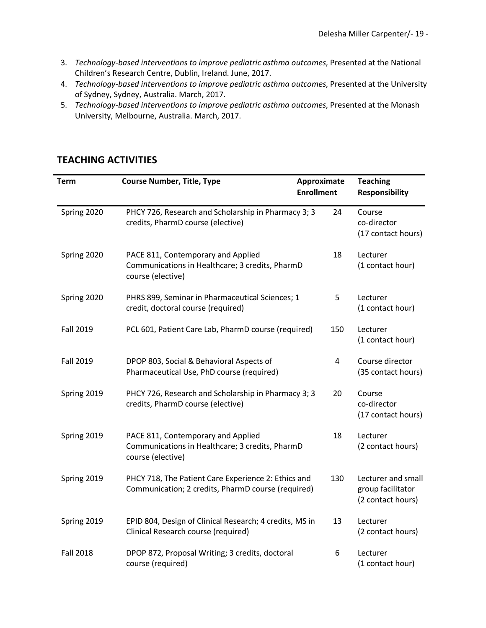- 3. *Technology-based interventions to improve pediatric asthma outcomes*, Presented at the National Children's Research Centre, Dublin, Ireland. June, 2017.
- 4. *Technology-based interventions to improve pediatric asthma outcomes*, Presented at the University of Sydney, Sydney, Australia. March, 2017.
- 5. *Technology-based interventions to improve pediatric asthma outcomes*, Presented at the Monash University, Melbourne, Australia. March, 2017.

## **TEACHING ACTIVITIES**

| Term             | <b>Course Number, Title, Type</b>                                                                          | Approximate<br><b>Enrollment</b> | <b>Teaching</b><br><b>Responsibility</b>                     |
|------------------|------------------------------------------------------------------------------------------------------------|----------------------------------|--------------------------------------------------------------|
| Spring 2020      | PHCY 726, Research and Scholarship in Pharmacy 3; 3<br>credits, PharmD course (elective)                   | 24                               | Course<br>co-director<br>(17 contact hours)                  |
| Spring 2020      | PACE 811, Contemporary and Applied<br>Communications in Healthcare; 3 credits, PharmD<br>course (elective) | 18                               | Lecturer<br>(1 contact hour)                                 |
| Spring 2020      | PHRS 899, Seminar in Pharmaceutical Sciences; 1<br>credit, doctoral course (required)                      | 5                                | Lecturer<br>(1 contact hour)                                 |
| Fall 2019        | PCL 601, Patient Care Lab, PharmD course (required)                                                        | 150                              | Lecturer<br>(1 contact hour)                                 |
| <b>Fall 2019</b> | DPOP 803, Social & Behavioral Aspects of<br>Pharmaceutical Use, PhD course (required)                      | 4                                | Course director<br>(35 contact hours)                        |
| Spring 2019      | PHCY 726, Research and Scholarship in Pharmacy 3; 3<br>credits, PharmD course (elective)                   | 20                               | Course<br>co-director<br>(17 contact hours)                  |
| Spring 2019      | PACE 811, Contemporary and Applied<br>Communications in Healthcare; 3 credits, PharmD<br>course (elective) | 18                               | Lecturer<br>(2 contact hours)                                |
| Spring 2019      | PHCY 718, The Patient Care Experience 2: Ethics and<br>Communication; 2 credits, PharmD course (required)  | 130                              | Lecturer and small<br>group facilitator<br>(2 contact hours) |
| Spring 2019      | EPID 804, Design of Clinical Research; 4 credits, MS in<br>Clinical Research course (required)             | 13                               | Lecturer<br>(2 contact hours)                                |
| <b>Fall 2018</b> | DPOP 872, Proposal Writing; 3 credits, doctoral<br>course (required)                                       | 6                                | Lecturer<br>(1 contact hour)                                 |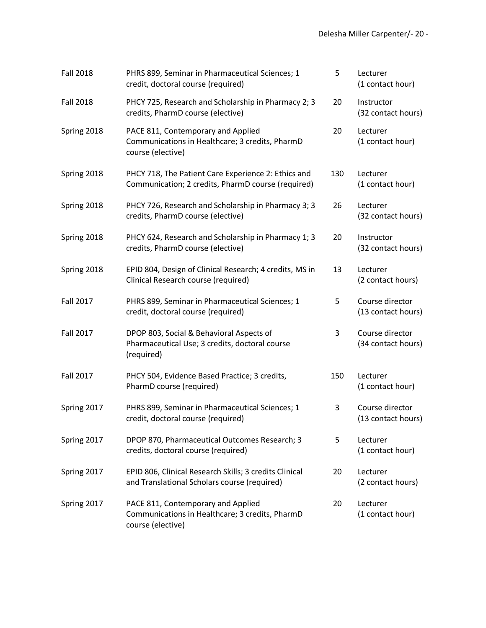| <b>Fall 2018</b> | PHRS 899, Seminar in Pharmaceutical Sciences; 1<br>credit, doctoral course (required)                      | 5   | Lecturer<br>(1 contact hour)          |
|------------------|------------------------------------------------------------------------------------------------------------|-----|---------------------------------------|
| <b>Fall 2018</b> | PHCY 725, Research and Scholarship in Pharmacy 2; 3<br>credits, PharmD course (elective)                   | 20  | Instructor<br>(32 contact hours)      |
| Spring 2018      | PACE 811, Contemporary and Applied<br>Communications in Healthcare; 3 credits, PharmD<br>course (elective) | 20  | Lecturer<br>(1 contact hour)          |
| Spring 2018      | PHCY 718, The Patient Care Experience 2: Ethics and<br>Communication; 2 credits, PharmD course (required)  | 130 | Lecturer<br>(1 contact hour)          |
| Spring 2018      | PHCY 726, Research and Scholarship in Pharmacy 3; 3<br>credits, PharmD course (elective)                   | 26  | Lecturer<br>(32 contact hours)        |
| Spring 2018      | PHCY 624, Research and Scholarship in Pharmacy 1; 3<br>credits, PharmD course (elective)                   | 20  | Instructor<br>(32 contact hours)      |
| Spring 2018      | EPID 804, Design of Clinical Research; 4 credits, MS in<br>Clinical Research course (required)             | 13  | Lecturer<br>(2 contact hours)         |
| Fall 2017        | PHRS 899, Seminar in Pharmaceutical Sciences; 1<br>credit, doctoral course (required)                      | 5   | Course director<br>(13 contact hours) |
| <b>Fall 2017</b> | DPOP 803, Social & Behavioral Aspects of<br>Pharmaceutical Use; 3 credits, doctoral course<br>(required)   | 3   | Course director<br>(34 contact hours) |
| Fall 2017        | PHCY 504, Evidence Based Practice; 3 credits,<br>PharmD course (required)                                  | 150 | Lecturer<br>(1 contact hour)          |
| Spring 2017      | PHRS 899, Seminar in Pharmaceutical Sciences; 1<br>credit, doctoral course (required)                      | 3   | Course director<br>(13 contact hours) |
| Spring 2017      | DPOP 870, Pharmaceutical Outcomes Research; 3<br>credits, doctoral course (required)                       | 5   | Lecturer<br>(1 contact hour)          |
| Spring 2017      | EPID 806, Clinical Research Skills; 3 credits Clinical<br>and Translational Scholars course (required)     | 20  | Lecturer<br>(2 contact hours)         |
| Spring 2017      | PACE 811, Contemporary and Applied<br>Communications in Healthcare; 3 credits, PharmD<br>course (elective) | 20  | Lecturer<br>(1 contact hour)          |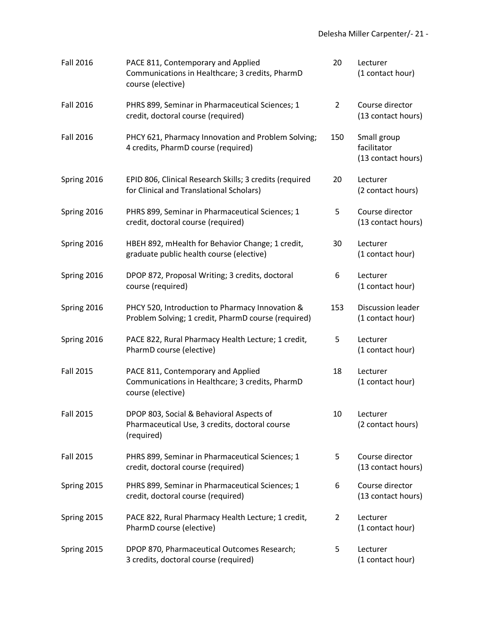| <b>Fall 2016</b> | PACE 811, Contemporary and Applied<br>Communications in Healthcare; 3 credits, PharmD<br>course (elective) | 20  | Lecturer<br>(1 contact hour)                     |
|------------------|------------------------------------------------------------------------------------------------------------|-----|--------------------------------------------------|
| <b>Fall 2016</b> | PHRS 899, Seminar in Pharmaceutical Sciences; 1<br>credit, doctoral course (required)                      | 2   | Course director<br>(13 contact hours)            |
| <b>Fall 2016</b> | PHCY 621, Pharmacy Innovation and Problem Solving;<br>4 credits, PharmD course (required)                  | 150 | Small group<br>facilitator<br>(13 contact hours) |
| Spring 2016      | EPID 806, Clinical Research Skills; 3 credits (required<br>for Clinical and Translational Scholars)        | 20  | Lecturer<br>(2 contact hours)                    |
| Spring 2016      | PHRS 899, Seminar in Pharmaceutical Sciences; 1<br>credit, doctoral course (required)                      | 5   | Course director<br>(13 contact hours)            |
| Spring 2016      | HBEH 892, mHealth for Behavior Change; 1 credit,<br>graduate public health course (elective)               | 30  | Lecturer<br>(1 contact hour)                     |
| Spring 2016      | DPOP 872, Proposal Writing; 3 credits, doctoral<br>course (required)                                       | 6   | Lecturer<br>(1 contact hour)                     |
| Spring 2016      | PHCY 520, Introduction to Pharmacy Innovation &<br>Problem Solving; 1 credit, PharmD course (required)     | 153 | Discussion leader<br>(1 contact hour)            |
| Spring 2016      | PACE 822, Rural Pharmacy Health Lecture; 1 credit,<br>PharmD course (elective)                             | 5   | Lecturer<br>(1 contact hour)                     |
| <b>Fall 2015</b> | PACE 811, Contemporary and Applied<br>Communications in Healthcare; 3 credits, PharmD<br>course (elective) | 18  | Lecturer<br>(1 contact hour)                     |
| <b>Fall 2015</b> | DPOP 803, Social & Behavioral Aspects of<br>Pharmaceutical Use, 3 credits, doctoral course<br>(required)   | 10  | Lecturer<br>(2 contact hours)                    |
| <b>Fall 2015</b> | PHRS 899, Seminar in Pharmaceutical Sciences; 1<br>credit, doctoral course (required)                      | 5   | Course director<br>(13 contact hours)            |
| Spring 2015      | PHRS 899, Seminar in Pharmaceutical Sciences; 1<br>credit, doctoral course (required)                      | 6   | Course director<br>(13 contact hours)            |
| Spring 2015      | PACE 822, Rural Pharmacy Health Lecture; 1 credit,<br>PharmD course (elective)                             | 2   | Lecturer<br>(1 contact hour)                     |
| Spring 2015      | DPOP 870, Pharmaceutical Outcomes Research;<br>3 credits, doctoral course (required)                       | 5   | Lecturer<br>(1 contact hour)                     |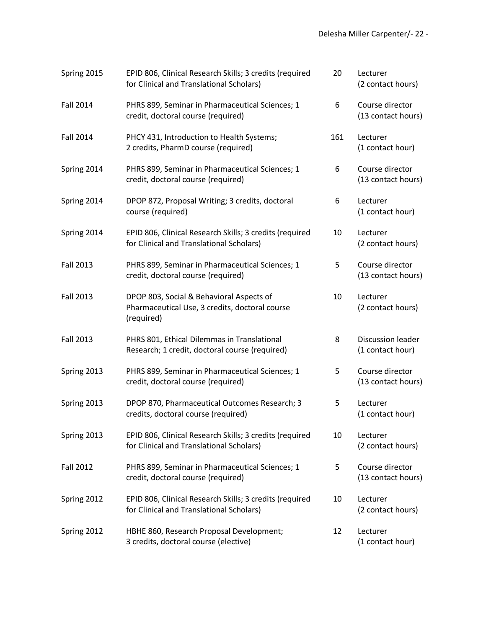| Spring 2015      | EPID 806, Clinical Research Skills; 3 credits (required<br>for Clinical and Translational Scholars)      | 20  | Lecturer<br>(2 contact hours)                |
|------------------|----------------------------------------------------------------------------------------------------------|-----|----------------------------------------------|
| <b>Fall 2014</b> | PHRS 899, Seminar in Pharmaceutical Sciences; 1<br>credit, doctoral course (required)                    | 6   | Course director<br>(13 contact hours)        |
| <b>Fall 2014</b> | PHCY 431, Introduction to Health Systems;<br>2 credits, PharmD course (required)                         | 161 | Lecturer<br>(1 contact hour)                 |
| Spring 2014      | PHRS 899, Seminar in Pharmaceutical Sciences; 1<br>credit, doctoral course (required)                    | 6   | Course director<br>(13 contact hours)        |
| Spring 2014      | DPOP 872, Proposal Writing; 3 credits, doctoral<br>course (required)                                     | 6   | Lecturer<br>(1 contact hour)                 |
| Spring 2014      | EPID 806, Clinical Research Skills; 3 credits (required<br>for Clinical and Translational Scholars)      | 10  | Lecturer<br>(2 contact hours)                |
| <b>Fall 2013</b> | PHRS 899, Seminar in Pharmaceutical Sciences; 1<br>credit, doctoral course (required)                    | 5   | Course director<br>(13 contact hours)        |
| <b>Fall 2013</b> | DPOP 803, Social & Behavioral Aspects of<br>Pharmaceutical Use, 3 credits, doctoral course<br>(required) | 10  | Lecturer<br>(2 contact hours)                |
| <b>Fall 2013</b> | PHRS 801, Ethical Dilemmas in Translational<br>Research; 1 credit, doctoral course (required)            | 8   | <b>Discussion leader</b><br>(1 contact hour) |
| Spring 2013      | PHRS 899, Seminar in Pharmaceutical Sciences; 1<br>credit, doctoral course (required)                    | 5   | Course director<br>(13 contact hours)        |
| Spring 2013      | DPOP 870, Pharmaceutical Outcomes Research; 3<br>credits, doctoral course (required)                     | 5   | Lecturer<br>(1 contact hour)                 |
| Spring 2013      | EPID 806, Clinical Research Skills; 3 credits (required<br>for Clinical and Translational Scholars)      | 10  | Lecturer<br>(2 contact hours)                |
| <b>Fall 2012</b> | PHRS 899, Seminar in Pharmaceutical Sciences; 1<br>credit, doctoral course (required)                    | 5   | Course director<br>(13 contact hours)        |
| Spring 2012      | EPID 806, Clinical Research Skills; 3 credits (required<br>for Clinical and Translational Scholars)      | 10  | Lecturer<br>(2 contact hours)                |
| Spring 2012      | HBHE 860, Research Proposal Development;<br>3 credits, doctoral course (elective)                        | 12  | Lecturer<br>(1 contact hour)                 |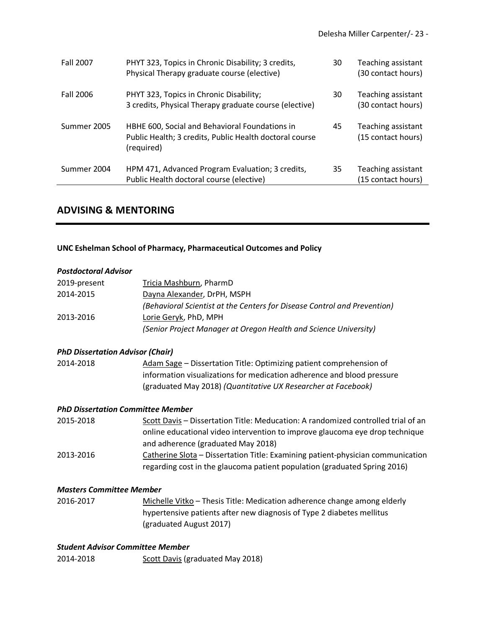| <b>Fall 2007</b> | PHYT 323, Topics in Chronic Disability; 3 credits,<br>Physical Therapy graduate course (elective)                       | 30 | Teaching assistant<br>(30 contact hours) |
|------------------|-------------------------------------------------------------------------------------------------------------------------|----|------------------------------------------|
| Fall 2006        | PHYT 323, Topics in Chronic Disability;<br>3 credits, Physical Therapy graduate course (elective)                       | 30 | Teaching assistant<br>(30 contact hours) |
| Summer 2005      | HBHE 600, Social and Behavioral Foundations in<br>Public Health; 3 credits, Public Health doctoral course<br>(required) | 45 | Teaching assistant<br>(15 contact hours) |
| Summer 2004      | HPM 471, Advanced Program Evaluation; 3 credits,<br>Public Health doctoral course (elective)                            | 35 | Teaching assistant<br>(15 contact hours) |

## **ADVISING & MENTORING**

#### **UNC Eshelman School of Pharmacy, Pharmaceutical Outcomes and Policy**

#### *Postdoctoral Advisor*

| 2019-present | Tricia Mashburn, PharmD                                                  |
|--------------|--------------------------------------------------------------------------|
| 2014-2015    | Dayna Alexander, DrPH, MSPH                                              |
|              | (Behavioral Scientist at the Centers for Disease Control and Prevention) |
| 2013-2016    | Lorie Geryk, PhD, MPH                                                    |
|              | (Senior Project Manager at Oregon Health and Science University)         |

#### *PhD Dissertation Advisor (Chair)*

2014-2018 Adam Sage – Dissertation Title: Optimizing patient comprehension of information visualizations for medication adherence and blood pressure (graduated May 2018) *(Quantitative UX Researcher at Facebook)*

#### *PhD Dissertation Committee Member*

| 2015-2018 | Scott Davis - Dissertation Title: Meducation: A randomized controlled trial of an |
|-----------|-----------------------------------------------------------------------------------|
|           | online educational video intervention to improve glaucoma eye drop technique      |
|           | and adherence (graduated May 2018)                                                |
| 2013-2016 | Catherine Slota – Dissertation Title: Examining patient-physician communication   |
|           | regarding cost in the glaucoma patient population (graduated Spring 2016)         |

#### *Masters Committee Member*

2016-2017 Michelle Vitko – Thesis Title: Medication adherence change among elderly hypertensive patients after new diagnosis of Type 2 diabetes mellitus (graduated August 2017)

#### *Student Advisor Committee Member*

2014-2018 Scott Davis (graduated May 2018)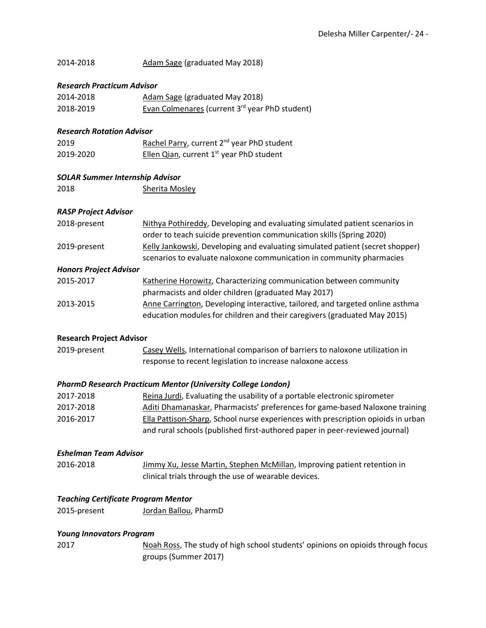| 2014-2018 | Adam Sage (graduated May 2018) |
|-----------|--------------------------------|
|-----------|--------------------------------|

#### *Research Practicum Advisor*

| 2014-2018 | <b>Adam Sage (graduated May 2018)</b>                      |
|-----------|------------------------------------------------------------|
| 2018-2019 | Evan Colmenares (current 3 <sup>rd</sup> year PhD student) |

#### *Research Rotation Advisor*

| 2019      | Rachel Parry, current 2 <sup>nd</sup> year PhD student |
|-----------|--------------------------------------------------------|
| 2019-2020 | Ellen Qian, current $1st$ year PhD student             |

#### *SOLAR Summer Internship Advisor*

| 2018 | Sherita Mosley |
|------|----------------|
|      |                |

#### *RASP Project Advisor*

| Nithya Pothireddy, Developing and evaluating simulated patient scenarios in   |
|-------------------------------------------------------------------------------|
| order to teach suicide prevention communication skills (Spring 2020)          |
| Kelly Jankowski, Developing and evaluating simulated patient (secret shopper) |
| scenarios to evaluate naloxone communication in community pharmacies          |
|                                                                               |

#### *Honors Project Advisor*

| 2015-2017 | Katherine Horowitz, Characterizing communication between community            |
|-----------|-------------------------------------------------------------------------------|
|           | pharmacists and older children (graduated May 2017)                           |
| 2013-2015 | Anne Carrington, Developing interactive, tailored, and targeted online asthma |
|           | education modules for children and their caregivers (graduated May 2015)      |

#### **Research Project Advisor**

2019-present Casey Wells, International comparison of barriers to naloxone utilization in response to recent legislation to increase naloxone access

#### *PharmD Research Practicum Mentor (University College London)*

| 2017-2018 | Reina Jurdi, Evaluating the usability of a portable electronic spirometer        |
|-----------|----------------------------------------------------------------------------------|
| 2017-2018 | Aditi Dhamanaskar, Pharmacists' preferences for game-based Naloxone training     |
| 2016-2017 | Ella Pattison-Sharp, School nurse experiences with prescription opioids in urban |
|           | and rural schools (published first-authored paper in peer-reviewed journal)      |

#### *Eshelman Team Advisor*

```
2016-2018 Jimmy Xu, Jesse Martin, Stephen McMillan, Improving patient retention in 
          clinical trials through the use of wearable devices.
```
#### *Teaching Certificate Program Mentor*

#### *Young Innovators Program*

2017 Noah Ross, The study of high school students' opinions on opioids through focus groups (Summer 2017)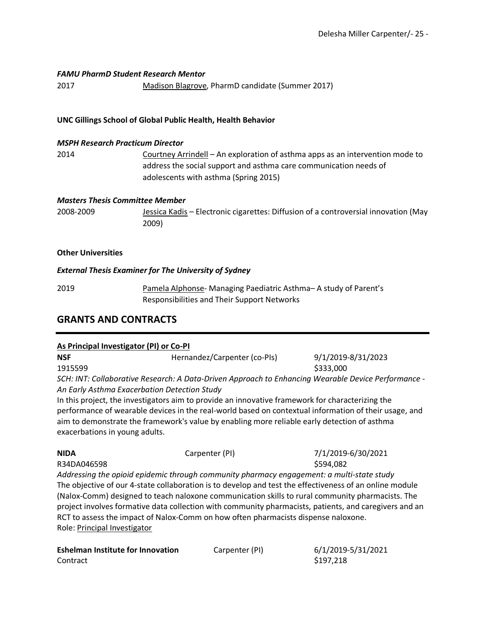#### *FAMU PharmD Student Research Mentor*

2017 Madison Blagrove, PharmD candidate (Summer 2017)

#### **UNC Gillings School of Global Public Health, Health Behavior**

#### *MSPH Research Practicum Director*

2014 Courtney Arrindell – An exploration of asthma apps as an intervention mode to address the social support and asthma care communication needs of adolescents with asthma (Spring 2015)

#### *Masters Thesis Committee Member*

2008-2009 Jessica Kadis – Electronic cigarettes: Diffusion of a controversial innovation (May 2009)

#### **Other Universities**

#### *External Thesis Examiner for The University of Sydney*

2019 Pamela Alphonse- Managing Paediatric Asthma– A study of Parent's Responsibilities and Their Support Networks

## **GRANTS AND CONTRACTS**

#### **As Principal Investigator (PI) or Co-PI**

| <b>NSF</b> | Hernandez/Carpenter (co-PIs)                                                                        | 9/1/2019-8/31/2023 |
|------------|-----------------------------------------------------------------------------------------------------|--------------------|
| 1915599    |                                                                                                     | \$333,000          |
|            | - SCH: INT: Collaborative Research: A Data-Driven Approach to Enhancing Wearable Device Performance |                    |

*An Early Asthma Exacerbation Detection Study*

In this project, the investigators aim to provide an innovative framework for characterizing the performance of wearable devices in the real-world based on contextual information of their usage, and aim to demonstrate the framework's value by enabling more reliable early detection of asthma exacerbations in young adults.

| <b>NIDA</b> | Carpenter (PI) | 7/1/2019-6/30/2021 |
|-------------|----------------|--------------------|
| R34DA046598 |                | \$594,082          |

*Addressing the opioid epidemic through community pharmacy engagement: a multi-state study* The objective of our 4-state collaboration is to develop and test the effectiveness of an online module (Nalox-Comm) designed to teach naloxone communication skills to rural community pharmacists. The project involves formative data collection with community pharmacists, patients, and caregivers and an RCT to assess the impact of Nalox-Comm on how often pharmacists dispense naloxone. Role: Principal Investigator

| <b>Eshelman Institute for Innovation</b> | Carpenter (PI) | 6/1/2019  |
|------------------------------------------|----------------|-----------|
| Contract                                 |                | \$197,218 |

**Eshelman Institute for Innovation** Carpenter (PI) 6/1/2019-5/31/2021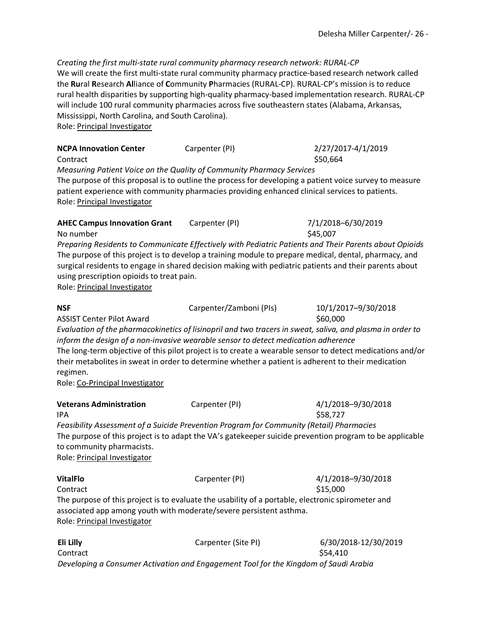*Creating the first multi-state rural community pharmacy research network: RURAL-CP* We will create the first multi-state rural community pharmacy practice-based research network called the **Ru**ral **R**esearch **Al**liance of **C**ommunity **P**harmacies (RURAL-CP). RURAL-CP's mission is to reduce rural health disparities by supporting high-quality pharmacy-based implementation research. RURAL-CP will include 100 rural community pharmacies across five southeastern states (Alabama, Arkansas, Mississippi, North Carolina, and South Carolina). Role: Principal Investigator

| <b>NCPA Innovation Center</b><br>Contract                                       | Carpenter (PI)                                                                                                                                                                                                                                                                                                                                                                                                     | 2/27/2017-4/1/2019<br>\$50,664   |
|---------------------------------------------------------------------------------|--------------------------------------------------------------------------------------------------------------------------------------------------------------------------------------------------------------------------------------------------------------------------------------------------------------------------------------------------------------------------------------------------------------------|----------------------------------|
| Role: Principal Investigator                                                    | Measuring Patient Voice on the Quality of Community Pharmacy Services<br>The purpose of this proposal is to outline the process for developing a patient voice survey to measure<br>patient experience with community pharmacies providing enhanced clinical services to patients.                                                                                                                                 |                                  |
| <b>AHEC Campus Innovation Grant</b><br>No number                                | Carpenter (PI)                                                                                                                                                                                                                                                                                                                                                                                                     | 7/1/2018-6/30/2019<br>\$45,007   |
| using prescription opioids to treat pain.<br>Role: Principal Investigator       | Preparing Residents to Communicate Effectively with Pediatric Patients and Their Parents about Opioids<br>The purpose of this project is to develop a training module to prepare medical, dental, pharmacy, and<br>surgical residents to engage in shared decision making with pediatric patients and their parents about                                                                                          |                                  |
| <b>NSF</b>                                                                      | Carpenter/Zamboni (PIs)                                                                                                                                                                                                                                                                                                                                                                                            | 10/1/2017-9/30/2018              |
| <b>ASSIST Center Pilot Award</b><br>regimen.<br>Role: Co-Principal Investigator | Evaluation of the pharmacokinetics of lisinopril and two tracers in sweat, saliva, and plasma in order to<br>inform the design of a non-invasive wearable sensor to detect medication adherence<br>The long-term objective of this pilot project is to create a wearable sensor to detect medications and/or<br>their metabolites in sweat in order to determine whether a patient is adherent to their medication | \$60,000                         |
| <b>Veterans Administration</b><br><b>IPA</b>                                    | Carpenter (PI)                                                                                                                                                                                                                                                                                                                                                                                                     | 4/1/2018-9/30/2018<br>\$58,727   |
| to community pharmacists.<br>Role: Principal Investigator                       | Feasibility Assessment of a Suicide Prevention Program for Community (Retail) Pharmacies<br>The purpose of this project is to adapt the VA's gatekeeper suicide prevention program to be applicable                                                                                                                                                                                                                |                                  |
| <b>VitalFlo</b><br>Contract                                                     | Carpenter (PI)                                                                                                                                                                                                                                                                                                                                                                                                     | 4/1/2018-9/30/2018<br>\$15,000   |
| Role: Principal Investigator                                                    | The purpose of this project is to evaluate the usability of a portable, electronic spirometer and<br>associated app among youth with moderate/severe persistent asthma.                                                                                                                                                                                                                                            |                                  |
| Eli Lilly<br>Contract                                                           | Carpenter (Site PI)                                                                                                                                                                                                                                                                                                                                                                                                | 6/30/2018-12/30/2019<br>\$54,410 |

*Developing a Consumer Activation and Engagement Tool for the Kingdom of Saudi Arabia*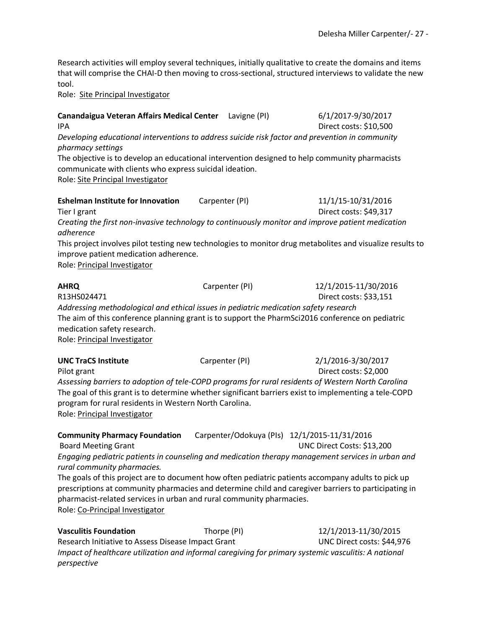Research activities will employ several techniques, initially qualitative to create the domains and items that will comprise the CHAI-D then moving to cross-sectional, structured interviews to validate the new tool.

Role: Site Principal Investigator

**Canandaigua Veteran Affairs Medical Center** Lavigne (PI) 6/1/2017-9/30/2017 IPA Direct costs: \$10,500

*Developing educational interventions to address suicide risk factor and prevention in community pharmacy settings*

The objective is to develop an educational intervention designed to help community pharmacists communicate with clients who express suicidal ideation.

Role: Site Principal Investigator

**Eshelman Institute for Innovation** Carpenter (PI) 11/1/15-10/31/2016 Tier I grant **Direct costs: \$49,317** *Creating the first non-invasive technology to continuously monitor and improve patient medication* 

*adherence*

This project involves pilot testing new technologies to monitor drug metabolites and visualize results to improve patient medication adherence.

Role: Principal Investigator

| <b>AHRQ</b>                                                                                      | Carpenter (PI) | 12/1/2015-11/30/2016   |
|--------------------------------------------------------------------------------------------------|----------------|------------------------|
| R13HS024471                                                                                      |                | Direct costs: \$33,151 |
| Addressing methodological and ethical issues in pediatric medication safety research             |                |                        |
| The aim of this conference planning grant is to support the PharmSci2016 conference on pediatric |                |                        |
| medication safety research.                                                                      |                |                        |
| Role: Principal Investigator                                                                     |                |                        |
|                                                                                                  |                |                        |

**UNC TraCS Institute** Carpenter (PI) 2/1/2016-3/30/2017 Pilot grant Direct costs: \$2,000 *Assessing barriers to adoption of tele-COPD programs for rural residents of Western North Carolina* The goal of this grant is to determine whether significant barriers exist to implementing a tele-COPD program for rural residents in Western North Carolina. Role: Principal Investigator

**Community Pharmacy Foundation** Carpenter/Odokuya (PIs) 12/1/2015-11/31/2016 Board Meeting Grant UNC Direct Costs: \$13,200 *Engaging pediatric patients in counseling and medication therapy management services in urban and rural community pharmacies.* The goals of this project are to document how often pediatric patients accompany adults to pick up prescriptions at community pharmacies and determine child and caregiver barriers to participating in pharmacist-related services in urban and rural community pharmacies. Role: Co-Principal Investigator

**Vasculitis Foundation** Thorpe (PI) 12/1/2013-11/30/2015 Research Initiative to Assess Disease Impact Grant UNC Direct costs: \$44,976 *Impact of healthcare utilization and informal caregiving for primary systemic vasculitis: A national perspective*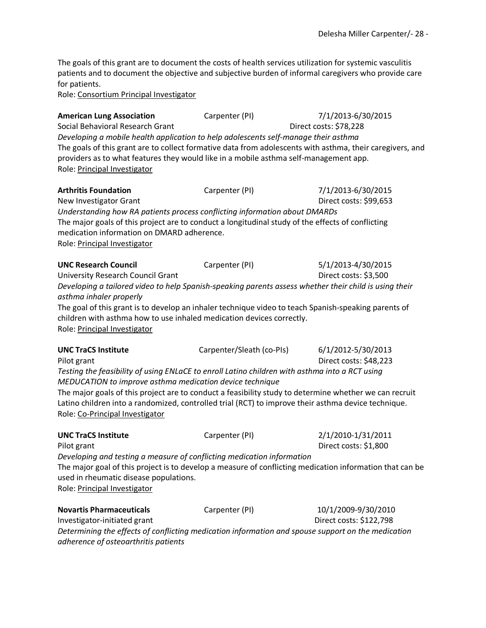The goals of this grant are to document the costs of health services utilization for systemic vasculitis patients and to document the objective and subjective burden of informal caregivers who provide care for patients.

Role: Consortium Principal Investigator

**American Lung Association Carpenter (PI)** 7/1/2013-6/30/2015 Social Behavioral Research Grant Direct costs: \$78,228 *Developing a mobile health application to help adolescents self-manage their asthma* The goals of this grant are to collect formative data from adolescents with asthma, their caregivers, and providers as to what features they would like in a mobile asthma self-management app. Role: Principal Investigator **Arthritis Foundation** Carpenter (PI) 7/1/2013-6/30/2015 New Investigator Grant New York 2012 12:00 12:00 20:00 20:00 20:00 20:00 20:00 20:00 20:00 20:00 20:00 20:00 20 *Understanding how RA patients process conflicting information about DMARDs* The major goals of this project are to conduct a longitudinal study of the effects of conflicting medication information on DMARD adherence. Role: Principal Investigator **UNC Research Council** Carpenter (PI) 5/1/2013-4/30/2015 University Research Council Grant Direct costs: \$3,500 *Developing a tailored video to help Spanish-speaking parents assess whether their child is using their asthma inhaler properly* The goal of this grant is to develop an inhaler technique video to teach Spanish-speaking parents of children with asthma how to use inhaled medication devices correctly. Role: Principal Investigator **UNC TraCS Institute** Carpenter/Sleath (co-PIs) 6/1/2012-5/30/2013 Pilot grant **Direct costs: \$48,223** *Testing the feasibility of using ENLaCE to enroll Latino children with asthma into a RCT using MEDUCATION to improve asthma medication device technique* The major goals of this project are to conduct a feasibility study to determine whether we can recruit Latino children into a randomized, controlled trial (RCT) to improve their asthma device technique. Role: Co-Principal Investigator **UNC TraCS Institute** Carpenter (PI) 2/1/2010-1/31/2011 Pilot grant Direct costs: \$1,800 *Developing and testing a measure of conflicting medication information* The major goal of this project is to develop a measure of conflicting medication information that can be used in rheumatic disease populations. Role: Principal Investigator **Novartis Pharmaceuticals** Carpenter (PI) 10/1/2009-9/30/2010 Investigator-initiated grant discussed by the Direct costs: \$122,798 *Determining the effects of conflicting medication information and spouse support on the medication adherence of osteoarthritis patients*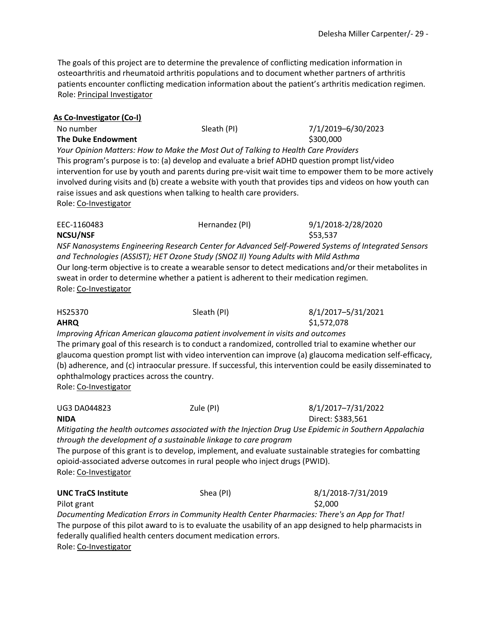The goals of this project are to determine the prevalence of conflicting medication information in osteoarthritis and rheumatoid arthritis populations and to document whether partners of arthritis patients encounter conflicting medication information about the patient's arthritis medication regimen. Role: Principal Investigator

#### **As Co-Investigator (Co-I)**

| No number                                                                                                 | Sleath (PI)                                                                        | 7/1/2019-6/30/2023                                                                                       |  |  |  |
|-----------------------------------------------------------------------------------------------------------|------------------------------------------------------------------------------------|----------------------------------------------------------------------------------------------------------|--|--|--|
| <b>The Duke Endowment</b>                                                                                 |                                                                                    | \$300,000                                                                                                |  |  |  |
|                                                                                                           | Your Opinion Matters: How to Make the Most Out of Talking to Health Care Providers |                                                                                                          |  |  |  |
| This program's purpose is to: (a) develop and evaluate a brief ADHD question prompt list/video            |                                                                                    |                                                                                                          |  |  |  |
| intervention for use by youth and parents during pre-visit wait time to empower them to be more actively  |                                                                                    |                                                                                                          |  |  |  |
| involved during visits and (b) create a website with youth that provides tips and videos on how youth can |                                                                                    |                                                                                                          |  |  |  |
| raise issues and ask questions when talking to health care providers.                                     |                                                                                    |                                                                                                          |  |  |  |
| Role: Co-Investigator                                                                                     |                                                                                    |                                                                                                          |  |  |  |
| EEC-1160483                                                                                               | Hernandez (PI)                                                                     | 9/1/2018-2/28/2020                                                                                       |  |  |  |
| <b>NCSU/NSF</b>                                                                                           |                                                                                    | \$53,537                                                                                                 |  |  |  |
|                                                                                                           |                                                                                    | NSF Nanosystems Engineering Research Center for Advanced Self-Powered Systems of Integrated Sensors      |  |  |  |
|                                                                                                           | and Technologies (ASSIST); HET Ozone Study (SNOZ II) Young Adults with Mild Asthma |                                                                                                          |  |  |  |
|                                                                                                           |                                                                                    | Our long-term objective is to create a wearable sensor to detect medications and/or their metabolites in |  |  |  |
| sweat in order to determine whether a patient is adherent to their medication regimen.                    |                                                                                    |                                                                                                          |  |  |  |
|                                                                                                           |                                                                                    |                                                                                                          |  |  |  |

Role: Co-Investigator

| HS25370 | Sleath (PI)                                                                                           | 8/1/2017-5/31/2021 |  |
|---------|-------------------------------------------------------------------------------------------------------|--------------------|--|
| AHRQ    |                                                                                                       | \$1,572,078        |  |
|         | Improving African American glaucoma patient involvement in visits and outcomes                        |                    |  |
|         | The primary goal of this research is to conduct a randomized, controlled trial to examine whether our |                    |  |
|         |                                                                                                       |                    |  |

glaucoma question prompt list with video intervention can improve (a) glaucoma medication self-efficacy, (b) adherence, and (c) intraocular pressure. If successful, this intervention could be easily disseminated to ophthalmology practices across the country.

Role: Co-Investigator

UG3 DA044823 Zule (PI) 8/1/2017–7/31/2022

**NIDA** Direct: \$383,561 *Mitigating the health outcomes associated with the Injection Drug Use Epidemic in Southern Appalachia through the development of a sustainable linkage to care program* 

The purpose of this grant is to develop, implement, and evaluate sustainable strategies for combatting opioid-associated adverse outcomes in rural people who inject drugs (PWID). Role: Co-Investigator

| <b>UNC TraCS Institute</b>                                     | Shea (PI) | 8/1/2018-7/31/2019                                                                                        |
|----------------------------------------------------------------|-----------|-----------------------------------------------------------------------------------------------------------|
| Pilot grant                                                    |           | \$2,000                                                                                                   |
|                                                                |           | Documenting Medication Errors in Community Health Center Pharmacies: There's an App for That!             |
|                                                                |           | The purpose of this pilot award to is to evaluate the usability of an app designed to help pharmacists in |
| federally qualified health centers document medication errors. |           |                                                                                                           |
|                                                                |           |                                                                                                           |

Role: Co-Investigator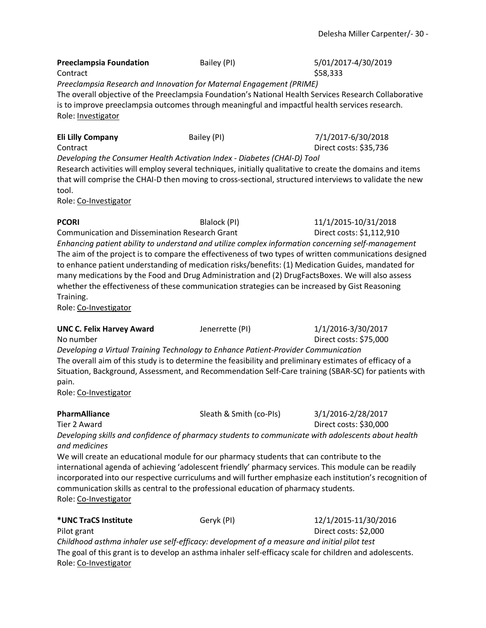## **Preeclampsia Foundation** Bailey (PI) 5/01/2017-4/30/2019  $\text{Contract}$   $\text{\$58,333}$ *Preeclampsia Research and Innovation for Maternal Engagement (PRIME)* The overall objective of the Preeclampsia Foundation's National Health Services Research Collaborative is to improve preeclampsia outcomes through meaningful and impactful health services research. Role: Investigator **Eli Lilly Company Bailey (PI) Bailey (PI)** 7/1/2017-6/30/2018 Contract Direct costs: \$35,736 *Developing the Consumer Health Activation Index - Diabetes (CHAI-D) Tool* Research activities will employ several techniques, initially qualitative to create the domains and items that will comprise the CHAI-D then moving to cross-sectional, structured interviews to validate the new tool. Role: Co-Investigator **PCORI** Blalock (PI) 11/1/2015-10/31/2018 Communication and Dissemination Research Grant Direct costs: \$1,112,910 *Enhancing patient ability to understand and utilize complex information concerning self-management* The aim of the project is to compare the effectiveness of two types of written communications designed to enhance patient understanding of medication risks/benefits: (1) Medication Guides, mandated for many medications by the Food and Drug Administration and (2) DrugFactsBoxes. We will also assess whether the effectiveness of these communication strategies can be increased by Gist Reasoning Training. Role: Co-Investigator **UNC C. Felix Harvey Award** Jenerrette (PI)  $1/1/2016 - 3/30/2017$ No number Direct costs: \$75,000 *Developing a Virtual Training Technology to Enhance Patient-Provider Communication* The overall aim of this study is to determine the feasibility and preliminary estimates of efficacy of a Situation, Background, Assessment, and Recommendation Self-Care training (SBAR-SC) for patients with pain. Role: Co-Investigator **PharmAlliance** Sleath & Smith (co-PIs) 3/1/2016-2/28/2017 Tier 2 Award Direct costs: \$30,000 *Developing skills and confidence of pharmacy students to communicate with adolescents about health and medicines*  We will create an educational module for our pharmacy students that can contribute to the international agenda of achieving 'adolescent friendly' pharmacy services. This module can be readily incorporated into our respective curriculums and will further emphasize each institution's recognition of communication skills as central to the professional education of pharmacy students. Role: Co-Investigator

| *UNC TraCS Institute                                                                        | Geryk (PI) | 12/1/2015-11/30/2016                                                                                     |
|---------------------------------------------------------------------------------------------|------------|----------------------------------------------------------------------------------------------------------|
| Pilot grant                                                                                 |            | Direct costs: \$2,000                                                                                    |
| Childhood asthma inhaler use self-efficacy: development of a measure and initial pilot test |            |                                                                                                          |
|                                                                                             |            | The goal of this grant is to develop an asthma inhaler self-efficacy scale for children and adolescents. |
| Role: Co-Investigator                                                                       |            |                                                                                                          |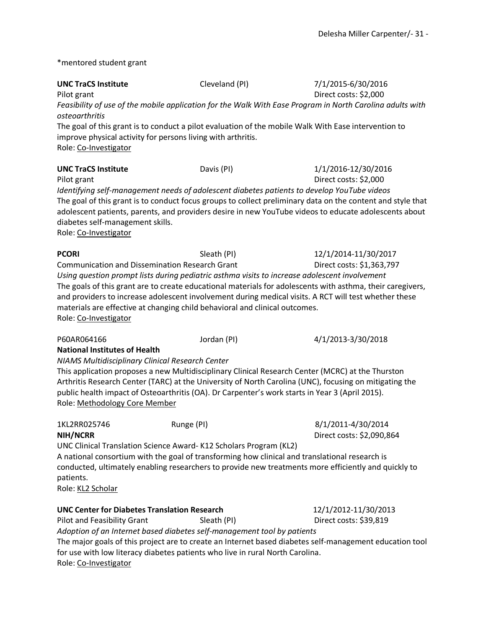\*mentored student grant

| <b>UNC TraCS Institute</b><br>Pilot grant                                                | Cleveland (PI)                                                                                                                                                               | 7/1/2015-6/30/2016<br>Direct costs: \$2,000                                                                                                                                                                          |
|------------------------------------------------------------------------------------------|------------------------------------------------------------------------------------------------------------------------------------------------------------------------------|----------------------------------------------------------------------------------------------------------------------------------------------------------------------------------------------------------------------|
| <b>osteoarthritis</b>                                                                    |                                                                                                                                                                              | Feasibility of use of the mobile application for the Walk With Ease Program in North Carolina adults with                                                                                                            |
| improve physical activity for persons living with arthritis.<br>Role: Co-Investigator    |                                                                                                                                                                              | The goal of this grant is to conduct a pilot evaluation of the mobile Walk With Ease intervention to                                                                                                                 |
| <b>UNC TraCS Institute</b><br>Pilot grant                                                | Davis (PI)                                                                                                                                                                   | 1/1/2016-12/30/2016<br>Direct costs: \$2,000                                                                                                                                                                         |
| diabetes self-management skills.<br>Role: Co-Investigator                                | Identifying self-management needs of adolescent diabetes patients to develop YouTube videos                                                                                  | The goal of this grant is to conduct focus groups to collect preliminary data on the content and style that<br>adolescent patients, parents, and providers desire in new YouTube videos to educate adolescents about |
| PCORI<br><b>Communication and Dissemination Research Grant</b>                           | Sleath (PI)                                                                                                                                                                  | 12/1/2014-11/30/2017<br>Direct costs: \$1,363,797                                                                                                                                                                    |
| Role: Co-Investigator                                                                    | Using question prompt lists during pediatric asthma visits to increase adolescent involvement<br>materials are effective at changing child behavioral and clinical outcomes. | The goals of this grant are to create educational materials for adolescents with asthma, their caregivers,<br>and providers to increase adolescent involvement during medical visits. A RCT will test whether these  |
| P60AR064166                                                                              | Jordan (PI)                                                                                                                                                                  | 4/1/2013-3/30/2018                                                                                                                                                                                                   |
| <b>National Institutes of Health</b><br>NIAMS Multidisciplinary Clinical Research Center |                                                                                                                                                                              |                                                                                                                                                                                                                      |
| Role: Methodology Core Member                                                            | public health impact of Osteoarthritis (OA). Dr Carpenter's work starts in Year 3 (April 2015).                                                                              | This application proposes a new Multidisciplinary Clinical Research Center (MCRC) at the Thurston<br>Arthritis Research Center (TARC) at the University of North Carolina (UNC), focusing on mitigating the          |
| 1KL2RR025746                                                                             | Runge (PI)                                                                                                                                                                   | 8/1/2011-4/30/2014                                                                                                                                                                                                   |
| <b>NIH/NCRR</b>                                                                          | UNC Clinical Translation Science Award-K12 Scholars Program (KL2)                                                                                                            | Direct costs: \$2,090,864                                                                                                                                                                                            |
| patients.<br>Role: <u>KL2 Scholar</u>                                                    | A national consortium with the goal of transforming how clinical and translational research is                                                                               | conducted, ultimately enabling researchers to provide new treatments more efficiently and quickly to                                                                                                                 |
| <b>UNC Center for Diabetes Translation Research</b>                                      |                                                                                                                                                                              | 12/1/2012-11/30/2013                                                                                                                                                                                                 |
| Pilot and Feasibility Grant                                                              | Sleath (PI)                                                                                                                                                                  | Direct costs: \$39,819                                                                                                                                                                                               |
|                                                                                          | Adoption of an Internet based diabetes self-management tool by patients                                                                                                      | The maior goals of this project are to create an Internet based diabetes self-management education tool                                                                                                              |

The major goals of this project are to create an Internet based diabetes self-management education tool for use with low literacy diabetes patients who live in rural North Carolina. Role: Co-Investigator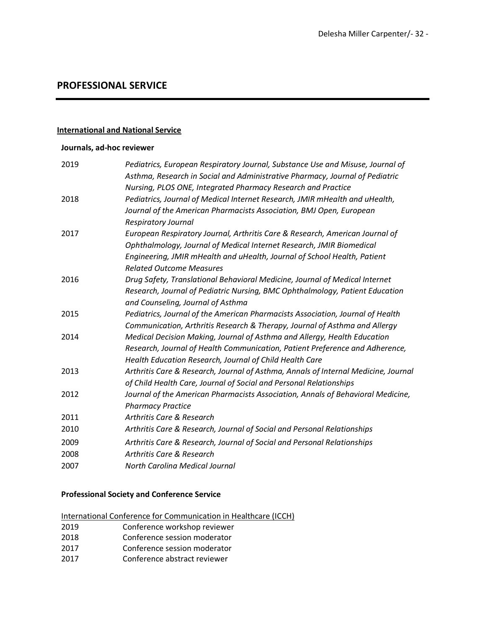## **PROFESSIONAL SERVICE**

#### **International and National Service**

#### **Journals, ad-hoc reviewer**

| 2019 | Pediatrics, European Respiratory Journal, Substance Use and Misuse, Journal of     |
|------|------------------------------------------------------------------------------------|
|      | Asthma, Research in Social and Administrative Pharmacy, Journal of Pediatric       |
|      | Nursing, PLOS ONE, Integrated Pharmacy Research and Practice                       |
| 2018 | Pediatrics, Journal of Medical Internet Research, JMIR mHealth and uHealth,        |
|      | Journal of the American Pharmacists Association, BMJ Open, European                |
|      | <b>Respiratory Journal</b>                                                         |
| 2017 | European Respiratory Journal, Arthritis Care & Research, American Journal of       |
|      | Ophthalmology, Journal of Medical Internet Research, JMIR Biomedical               |
|      | Engineering, JMIR mHealth and uHealth, Journal of School Health, Patient           |
|      | <b>Related Outcome Measures</b>                                                    |
| 2016 | Drug Safety, Translational Behavioral Medicine, Journal of Medical Internet        |
|      | Research, Journal of Pediatric Nursing, BMC Ophthalmology, Patient Education       |
|      | and Counseling, Journal of Asthma                                                  |
| 2015 | Pediatrics, Journal of the American Pharmacists Association, Journal of Health     |
|      | Communication, Arthritis Research & Therapy, Journal of Asthma and Allergy         |
| 2014 | Medical Decision Making, Journal of Asthma and Allergy, Health Education           |
|      | Research, Journal of Health Communication, Patient Preference and Adherence,       |
|      | Health Education Research, Journal of Child Health Care                            |
| 2013 | Arthritis Care & Research, Journal of Asthma, Annals of Internal Medicine, Journal |
|      | of Child Health Care, Journal of Social and Personal Relationships                 |
| 2012 | Journal of the American Pharmacists Association, Annals of Behavioral Medicine,    |
|      | <b>Pharmacy Practice</b>                                                           |
| 2011 | Arthritis Care & Research                                                          |
| 2010 | Arthritis Care & Research, Journal of Social and Personal Relationships            |
| 2009 | Arthritis Care & Research, Journal of Social and Personal Relationships            |
| 2008 | <b>Arthritis Care &amp; Research</b>                                               |
| 2007 | <b>North Carolina Medical Journal</b>                                              |

#### **Professional Society and Conference Service**

- International Conference for Communication in Healthcare (ICCH)
- 2019 Conference workshop reviewer
- 2018 Conference session moderator
- 2017 Conference session moderator
- 2017 Conference abstract reviewer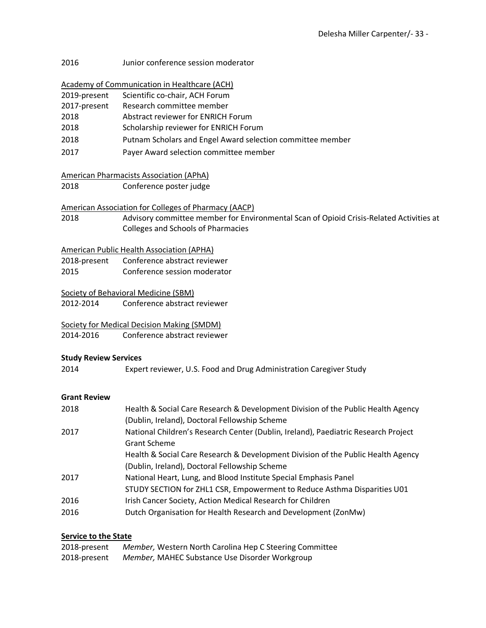2016 Junior conference session moderator

| <b>Academy of Communication in Healthcare (ACH)</b> |
|-----------------------------------------------------|
|-----------------------------------------------------|

| 2019-present | Scientific co-chair, ACH Forum |
|--------------|--------------------------------|
|--------------|--------------------------------|

2017-present Research committee member

- 2018 Abstract reviewer for ENRICH Forum
- 2018 Scholarship reviewer for ENRICH Forum
- 2018 Putnam Scholars and Engel Award selection committee member
- 2017 Payer Award selection committee member

| American Pharmacists Association (APhA) |
|-----------------------------------------|
|-----------------------------------------|

2018 Conference poster judge

#### American Association for Colleges of Pharmacy (AACP)

2018 Advisory committee member for Environmental Scan of Opioid Crisis-Related Activities at Colleges and Schools of Pharmacies

#### American Public Health Association (APHA)

| 2018-present | Conference abstract reviewer |
|--------------|------------------------------|
| 2015         | Conference session moderator |

#### Society of Behavioral Medicine (SBM)

2012-2014 Conference abstract reviewer

Society for Medical Decision Making (SMDM)

2014-2016 Conference abstract reviewer

#### **Study Review Services**

2014 Expert reviewer, U.S. Food and Drug Administration Caregiver Study

#### **Grant Review**

| 2018 | Health & Social Care Research & Development Division of the Public Health Agency   |
|------|------------------------------------------------------------------------------------|
|      | (Dublin, Ireland), Doctoral Fellowship Scheme                                      |
| 2017 | National Children's Research Center (Dublin, Ireland), Paediatric Research Project |
|      | <b>Grant Scheme</b>                                                                |
|      | Health & Social Care Research & Development Division of the Public Health Agency   |
|      | (Dublin, Ireland), Doctoral Fellowship Scheme                                      |
| 2017 | National Heart, Lung, and Blood Institute Special Emphasis Panel                   |
|      | STUDY SECTION for ZHL1 CSR, Empowerment to Reduce Asthma Disparities U01           |
| 2016 | Irish Cancer Society, Action Medical Research for Children                         |
| 2016 | Dutch Organisation for Health Research and Development (ZonMw)                     |

#### **Service to the State**

| 2018-present | Member, Western North Carolina Hep C Steering Committee |
|--------------|---------------------------------------------------------|
| 2018-present | Member, MAHEC Substance Use Disorder Workgroup          |